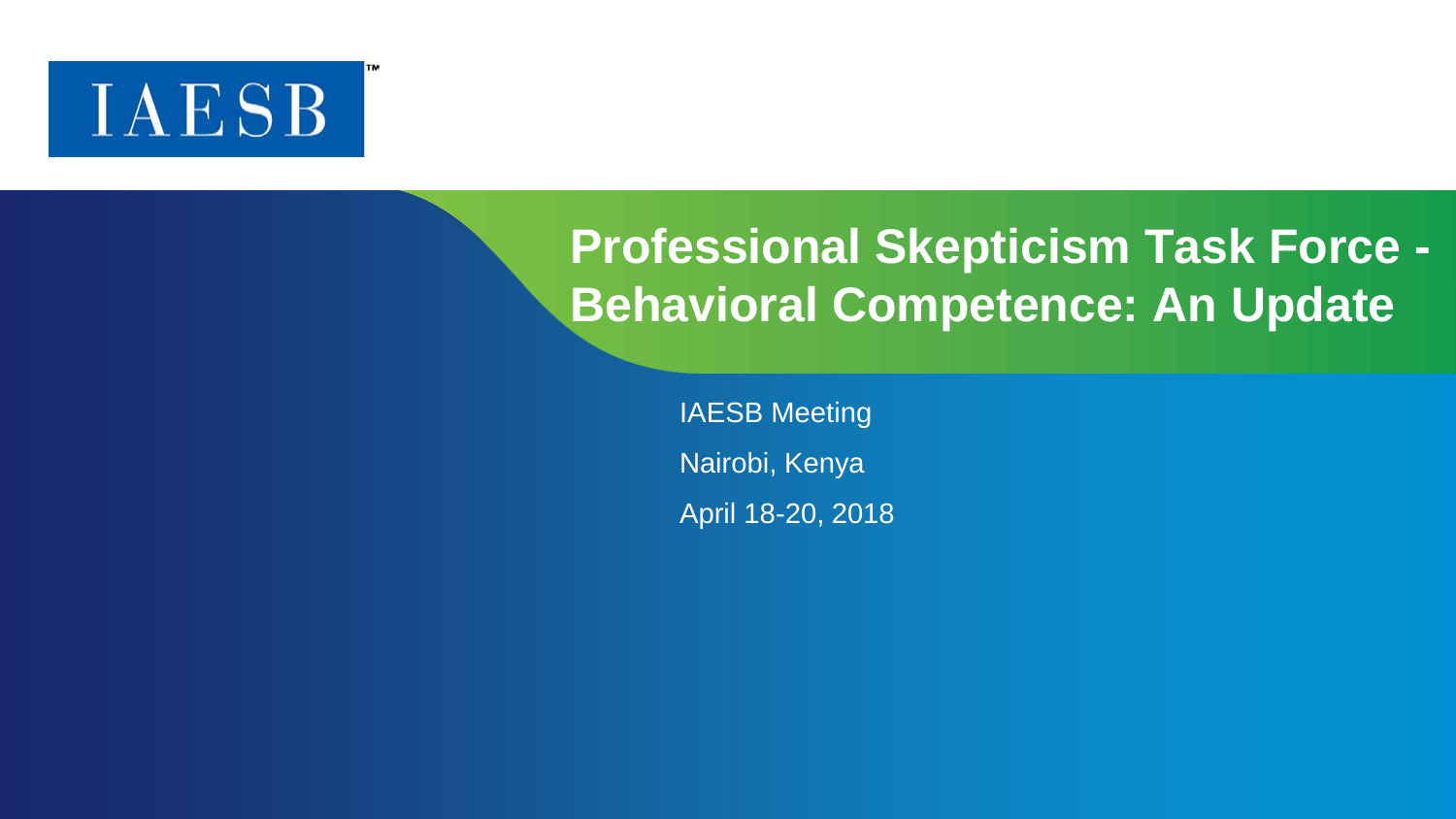## **IAESB**

## **Professional Skepticism Task Force - Behavioral Competence: An Update**

IAESB Meeting Nairobi, Kenya April 18-20, 2018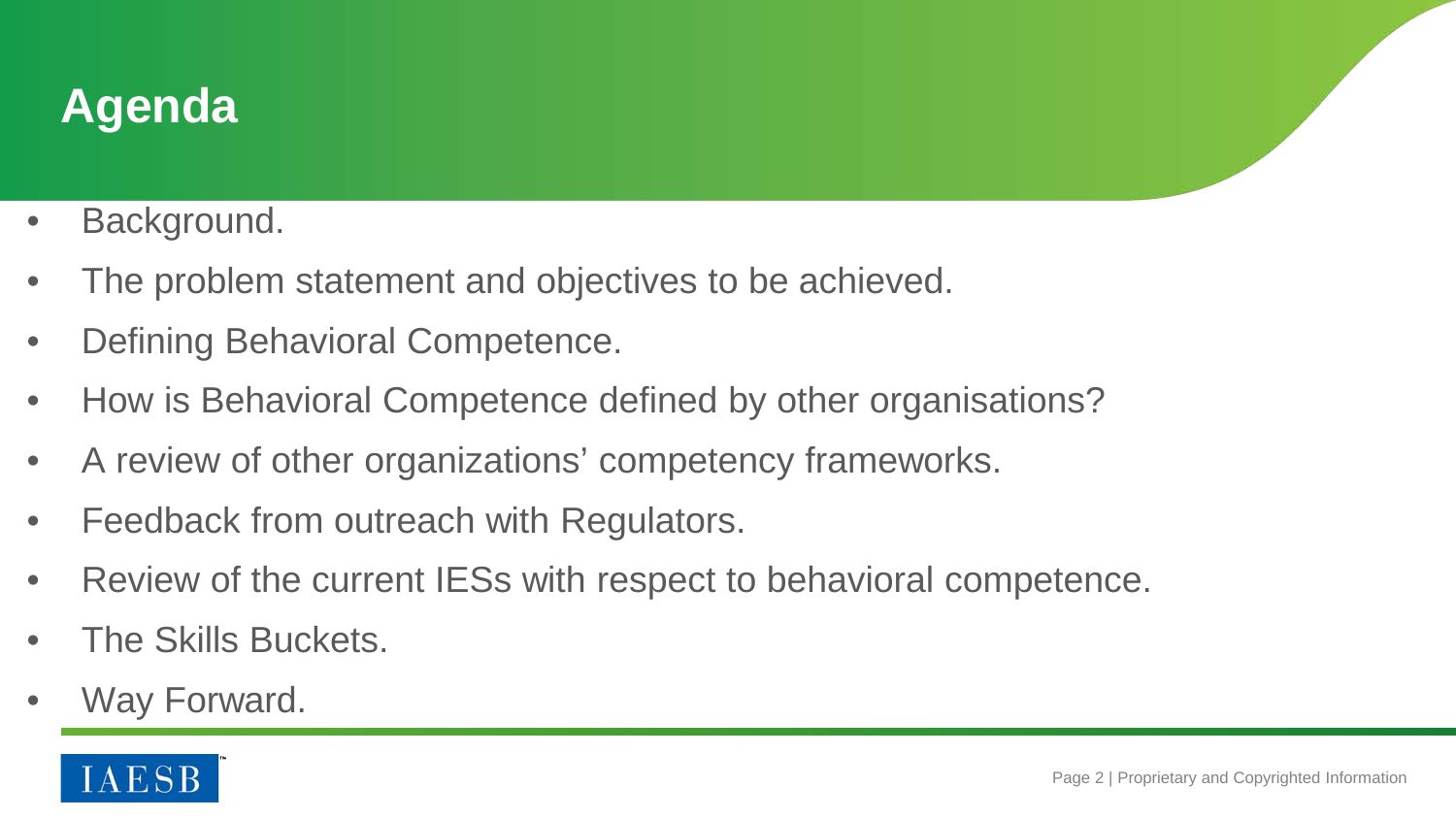

- Background.
- The problem statement and objectives to be achieved.
- Defining Behavioral Competence.
- How is Behavioral Competence defined by other organisations?
- A review of other organizations' competency frameworks.
- Feedback from outreach with Regulators.
- Review of the current IESs with respect to behavioral competence.
- The Skills Buckets.
- Way Forward.

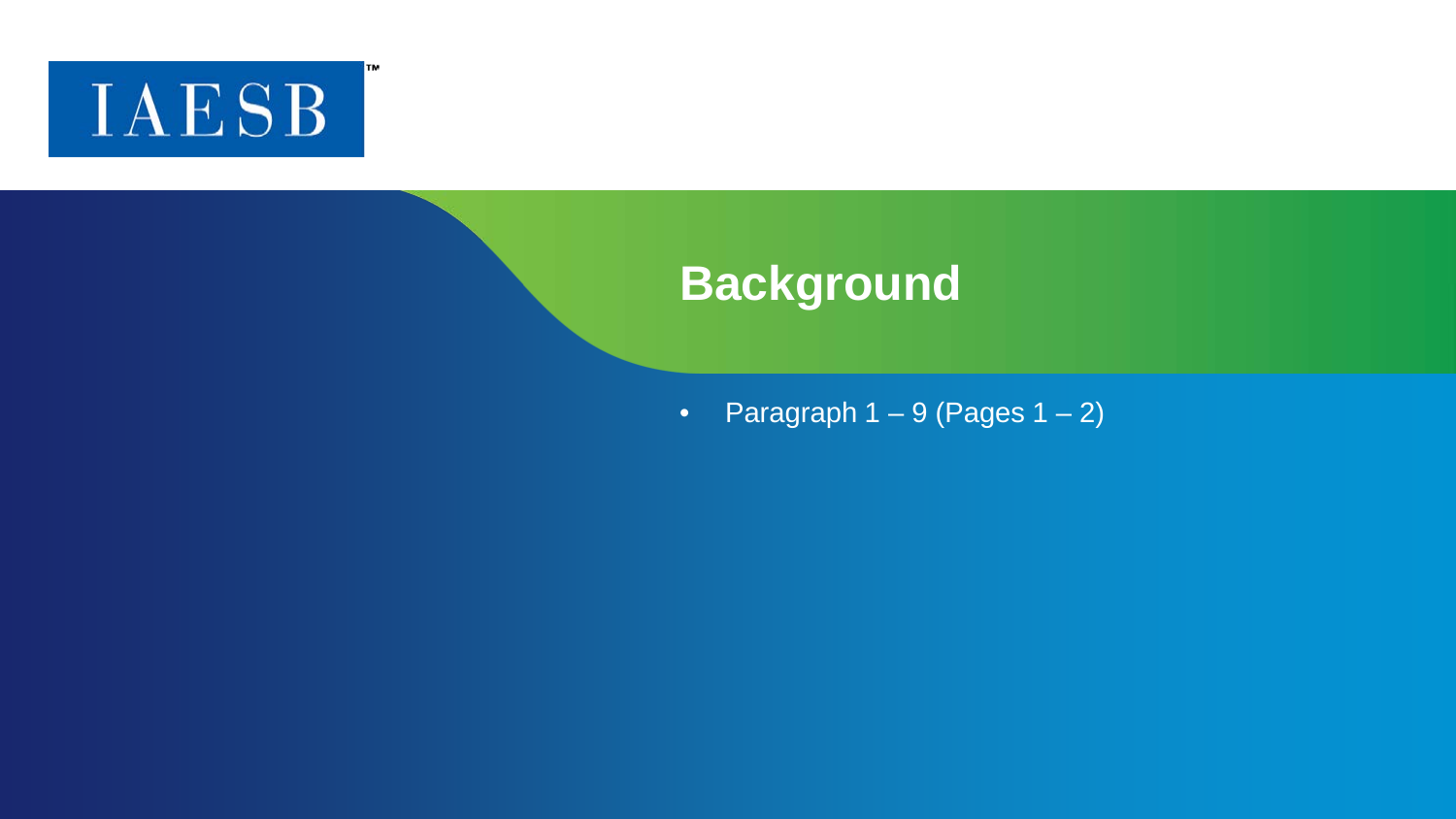

TM.

#### **Background**

• Paragraph  $1 - 9$  (Pages  $1 - 2$ )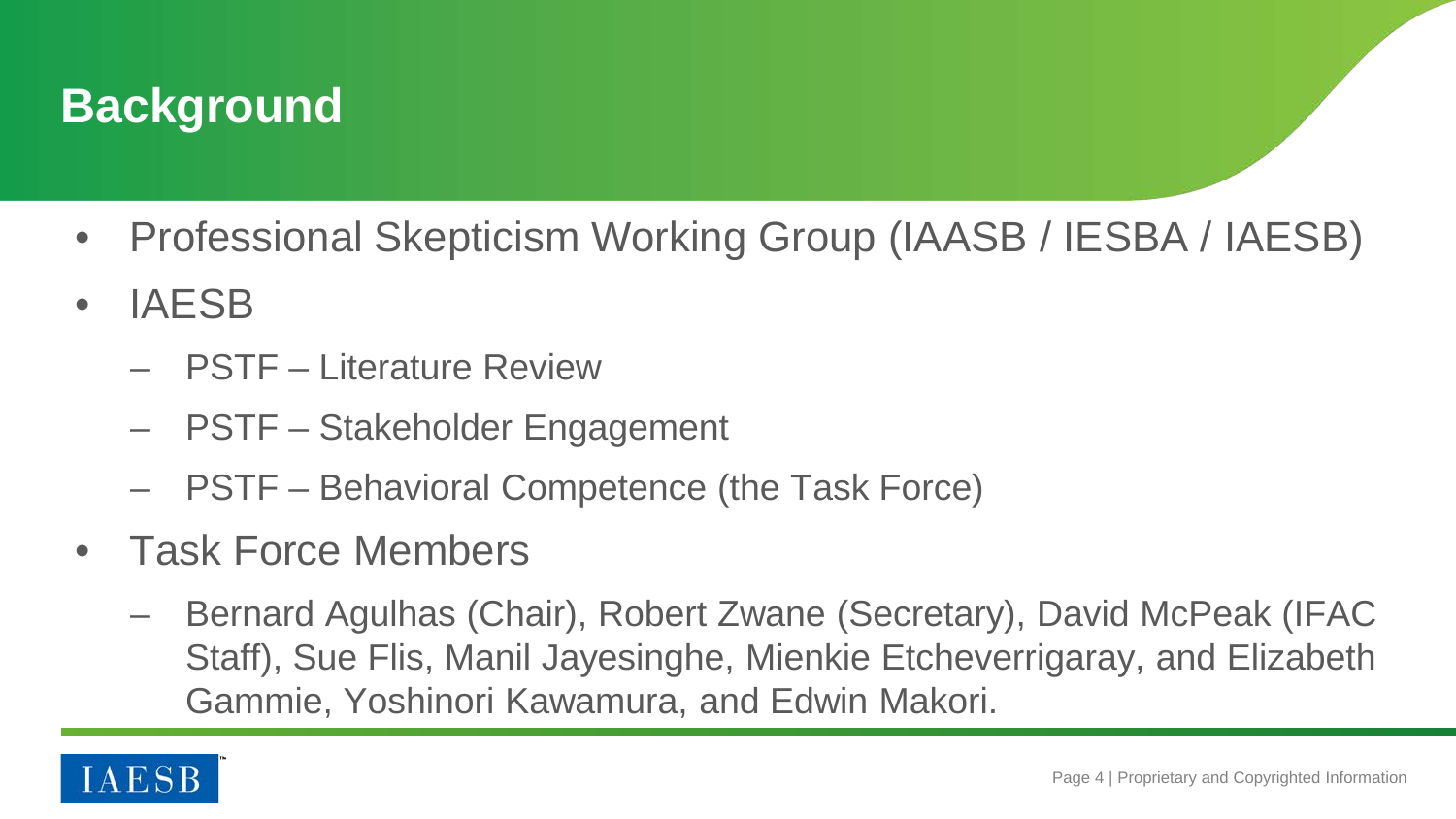

- Professional Skepticism Working Group (IAASB / IESBA / IAESB)
- IAESB
	- PSTF Literature Review
	- PSTF Stakeholder Engagement
	- PSTF Behavioral Competence (the Task Force)
- Task Force Members
	- Bernard Agulhas (Chair), Robert Zwane (Secretary), David McPeak (IFAC Staff), Sue Flis, Manil Jayesinghe, Mienkie Etcheverrigaray, and Elizabeth Gammie, Yoshinori Kawamura, and Edwin Makori.

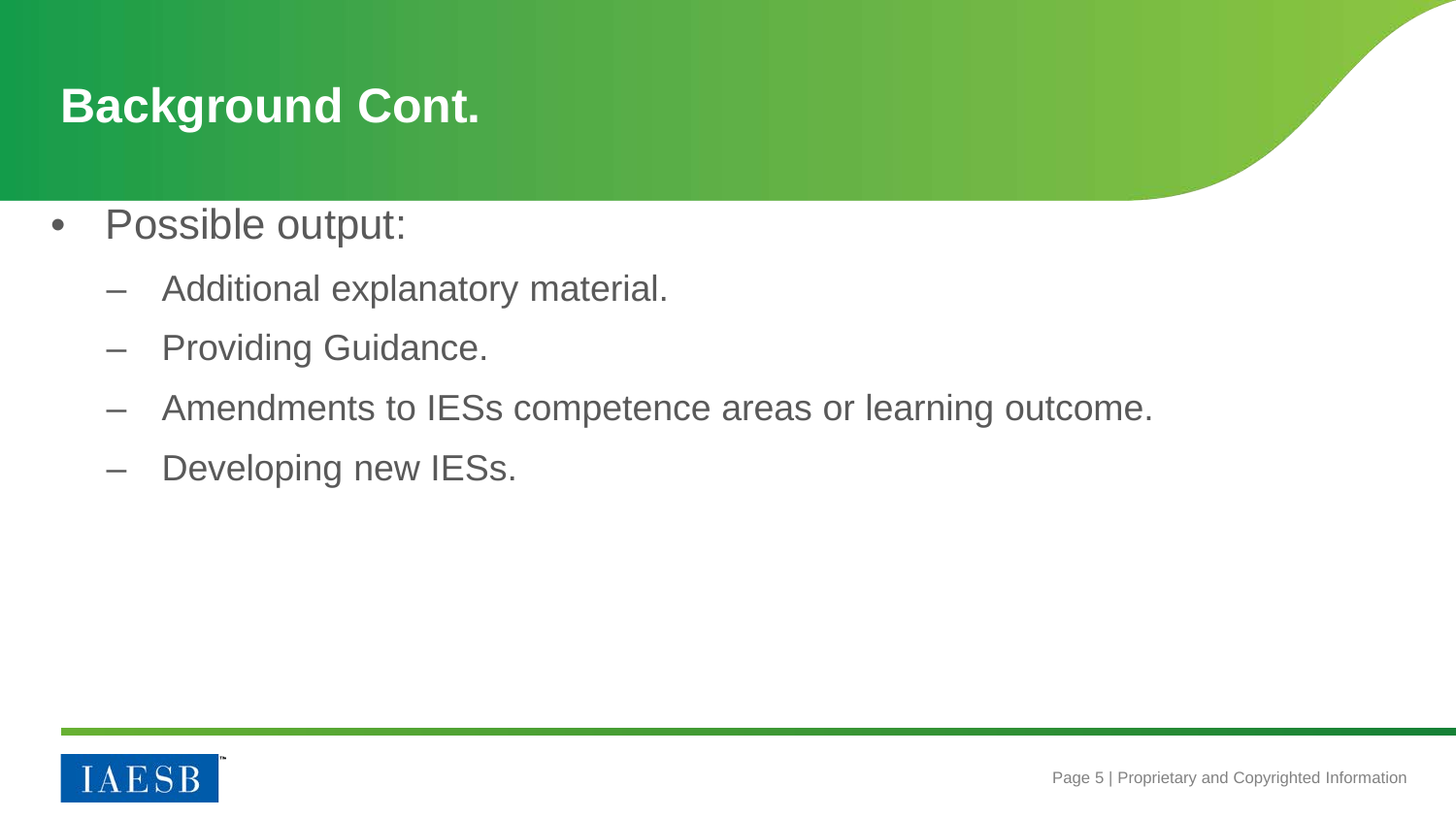## **Background Cont.**

- Possible output:
	- Additional explanatory material.
	- Providing Guidance.
	- Amendments to IESs competence areas or learning outcome.
	- Developing new IESs.

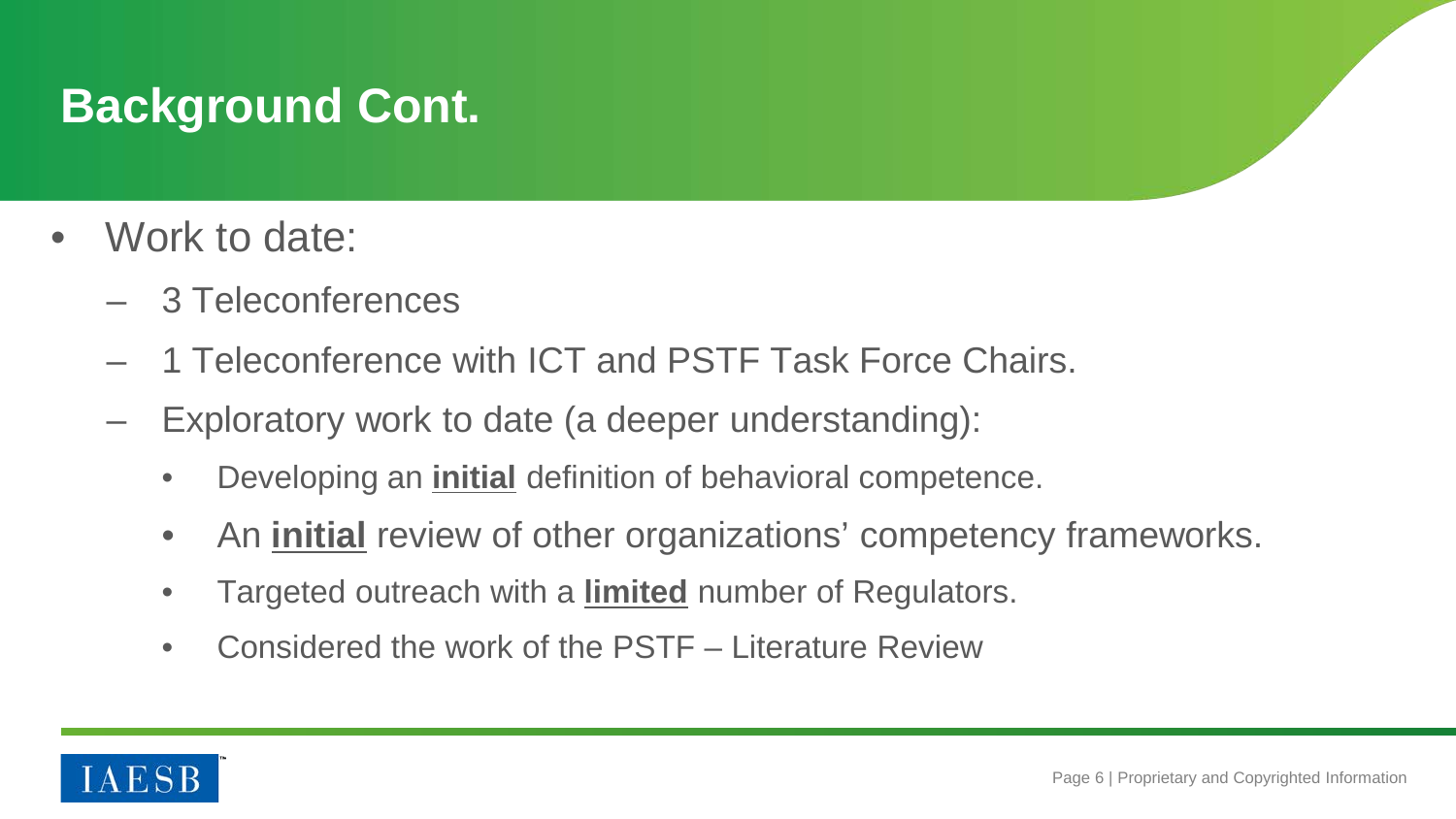## **Background Cont.**

- Work to date:
	- 3 Teleconferences
	- 1 Teleconference with ICT and PSTF Task Force Chairs.
	- Exploratory work to date (a deeper understanding):
		- Developing an **initial** definition of behavioral competence.
		- An **initial** review of other organizations' competency frameworks.
		- Targeted outreach with a **limited** number of Regulators.
		- Considered the work of the PSTF Literature Review

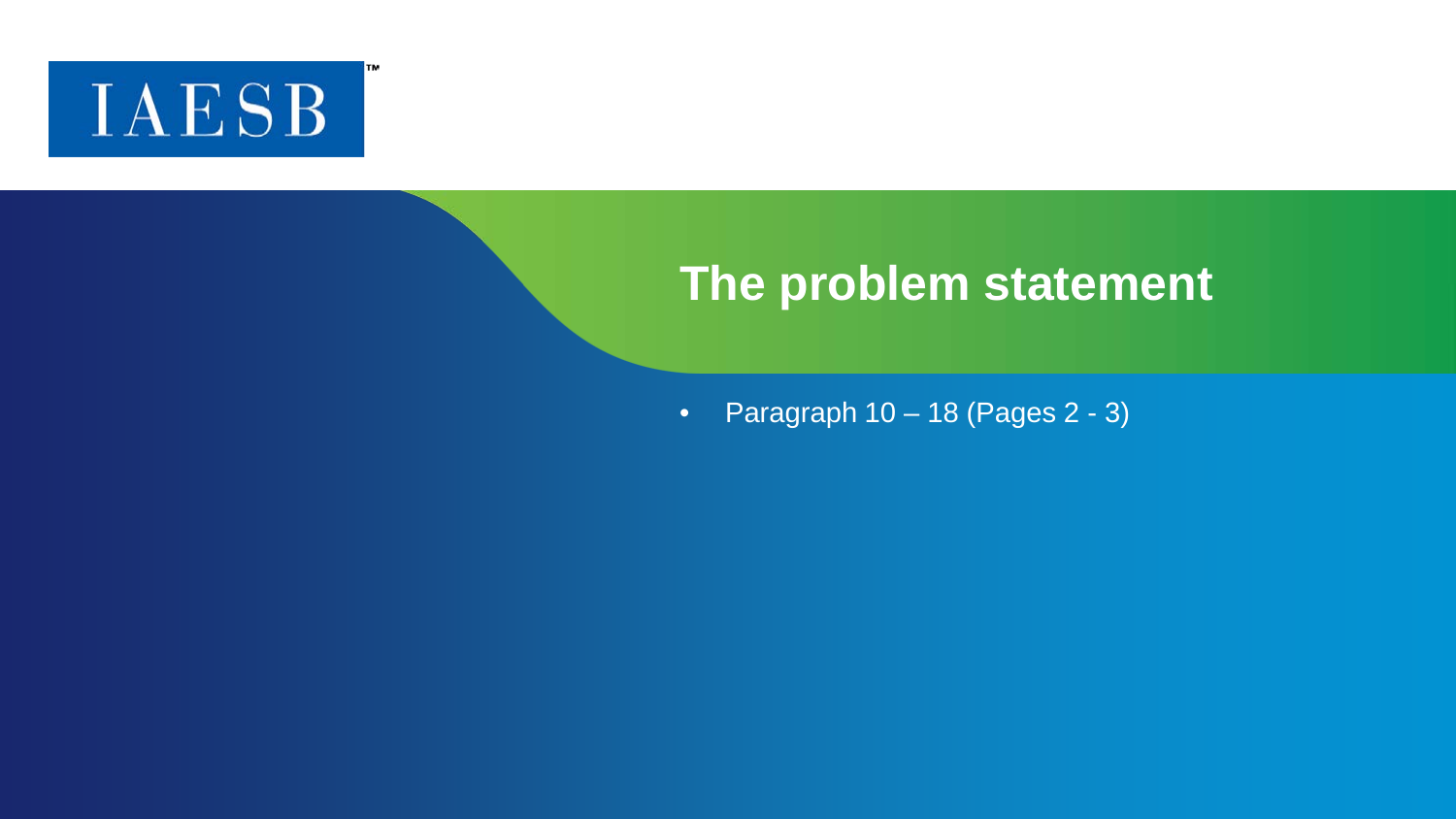

ГM

#### **The problem statement**

• Paragraph  $10 - 18$  (Pages  $2 - 3$ )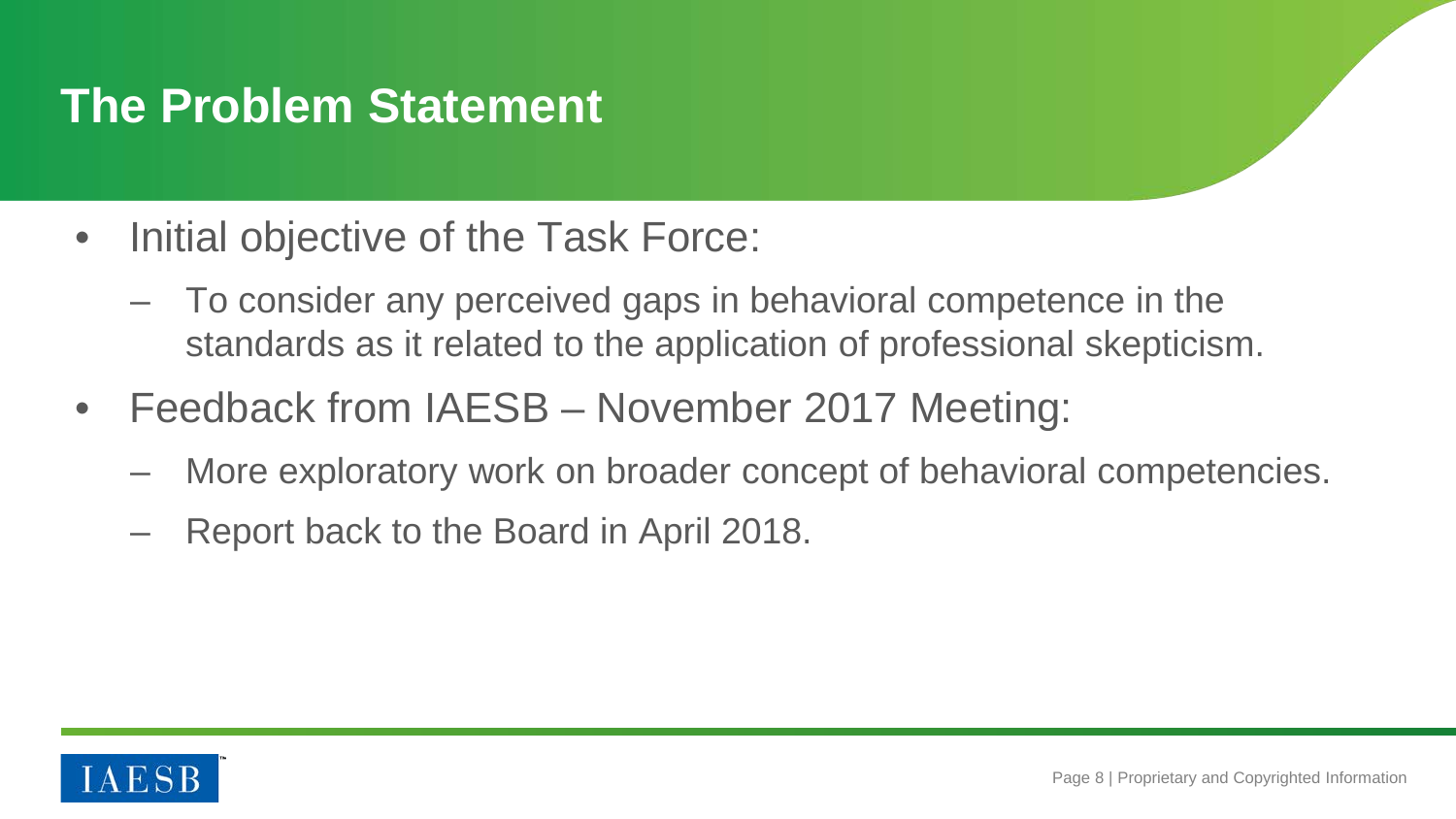## **The Problem Statement**

- Initial objective of the Task Force:
	- To consider any perceived gaps in behavioral competence in the standards as it related to the application of professional skepticism.
- Feedback from IAESB November 2017 Meeting:
	- More exploratory work on broader concept of behavioral competencies.
	- Report back to the Board in April 2018.

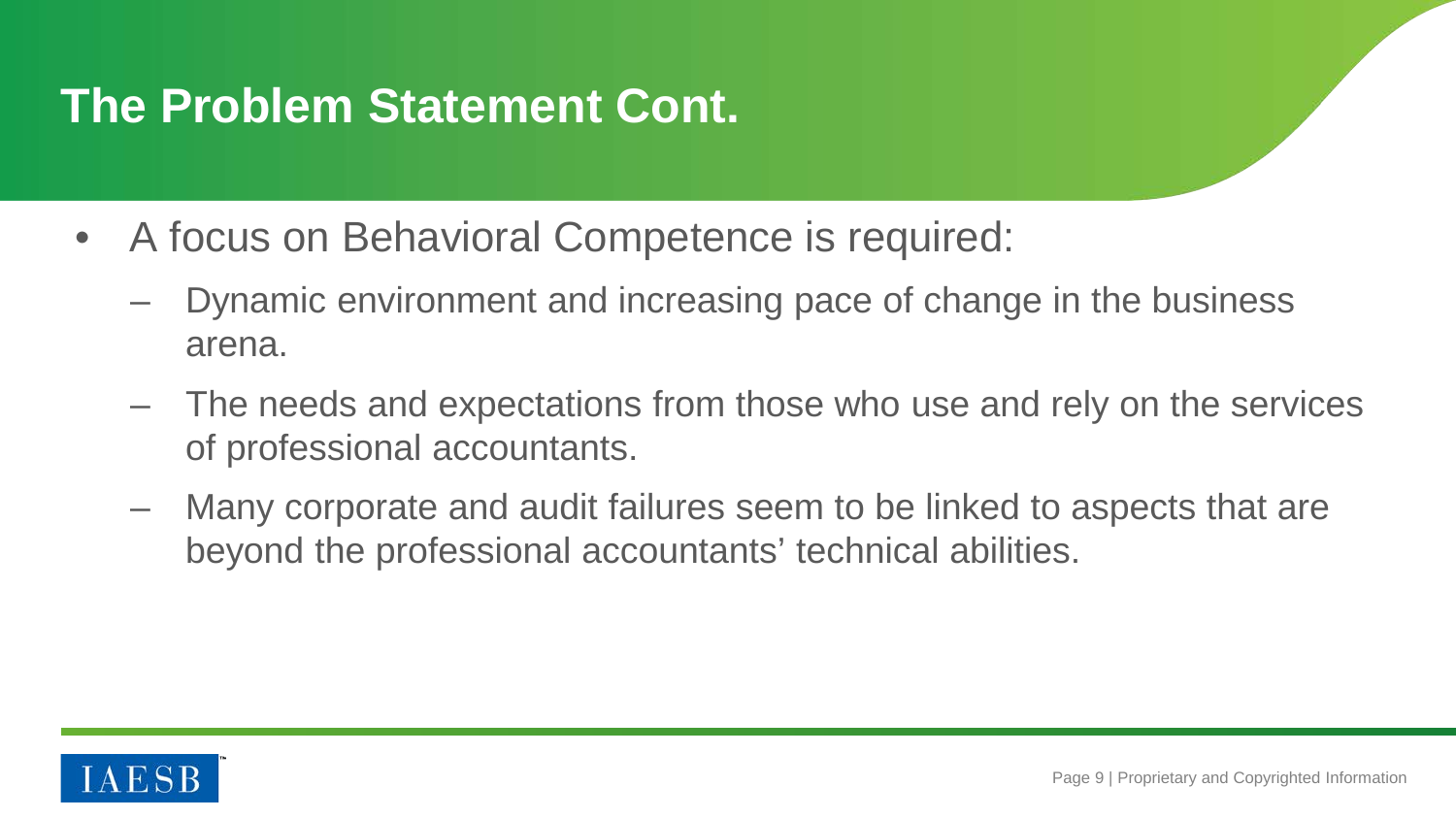## **The Problem Statement Cont.**

- A focus on Behavioral Competence is required:
	- Dynamic environment and increasing pace of change in the business arena.
	- The needs and expectations from those who use and rely on the services of professional accountants.
	- Many corporate and audit failures seem to be linked to aspects that are beyond the professional accountants' technical abilities.

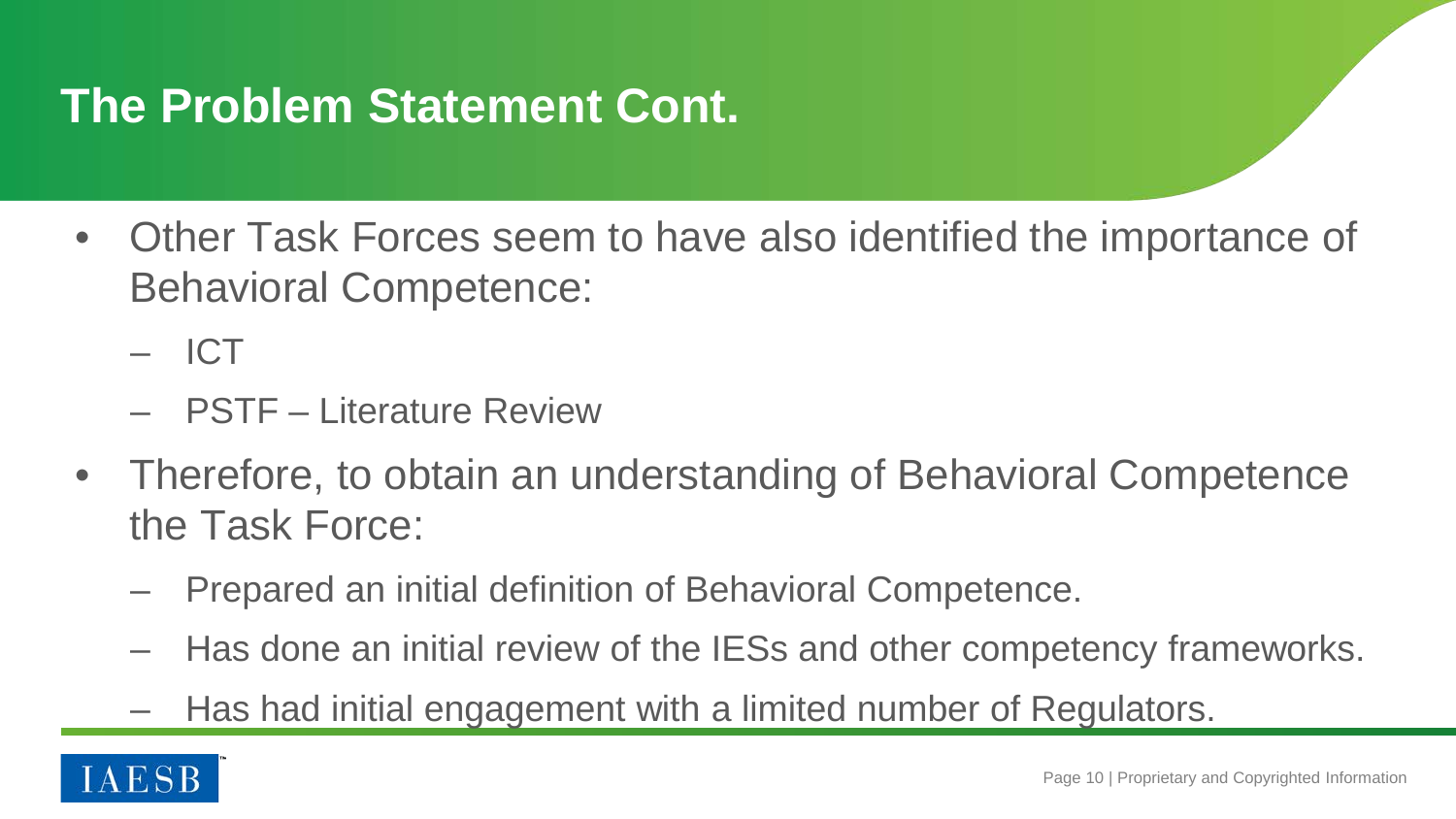## **The Problem Statement Cont.**

• Other Task Forces seem to have also identified the importance of Behavioral Competence:

– ICT

- PSTF Literature Review
- Therefore, to obtain an understanding of Behavioral Competence the Task Force:
	- Prepared an initial definition of Behavioral Competence.
	- Has done an initial review of the IESs and other competency frameworks.
	- Has had initial engagement with a limited number of Regulators.

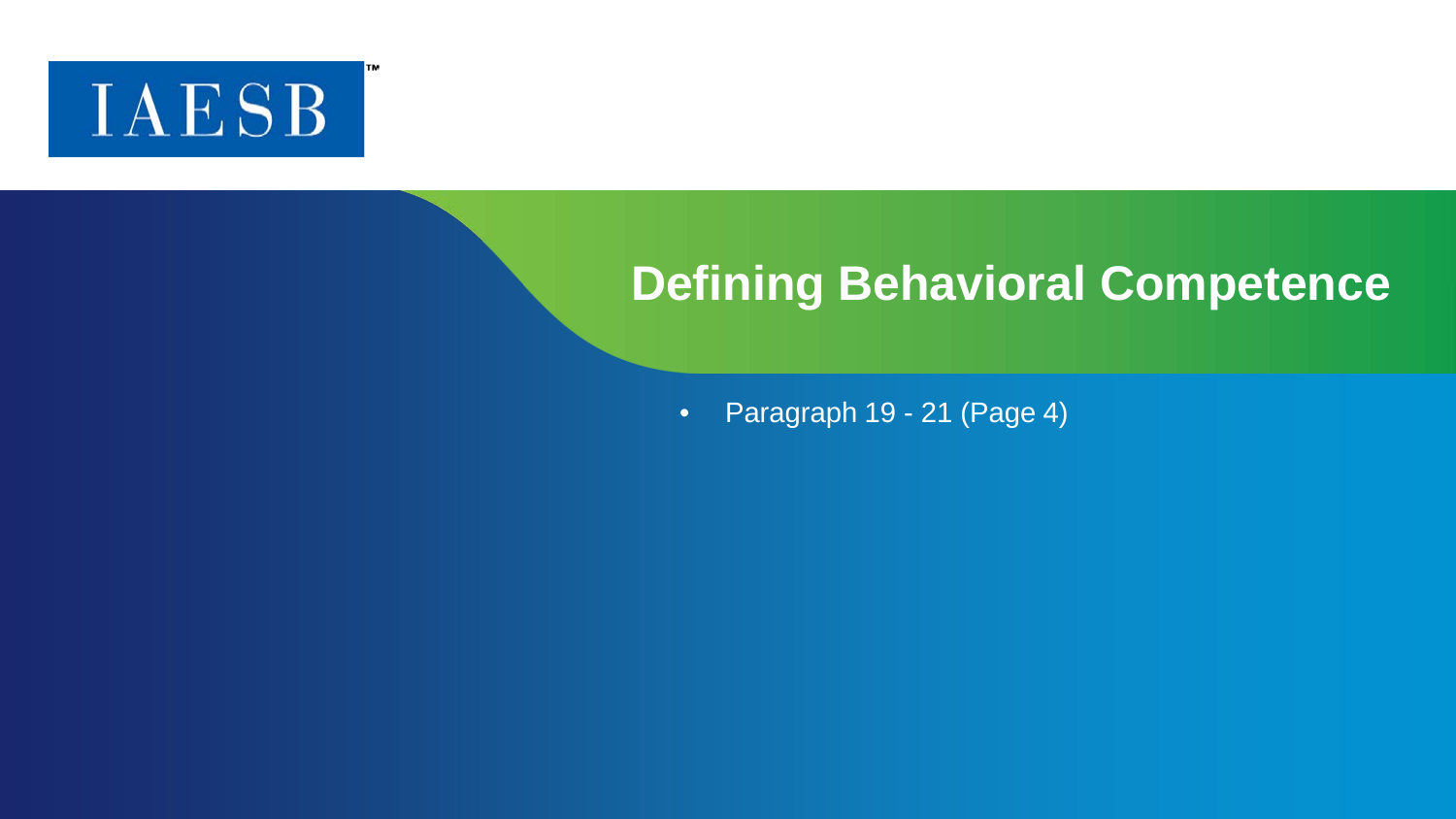

#### **Defining Behavioral Competence**

• Paragraph 19 - 21 (Page 4)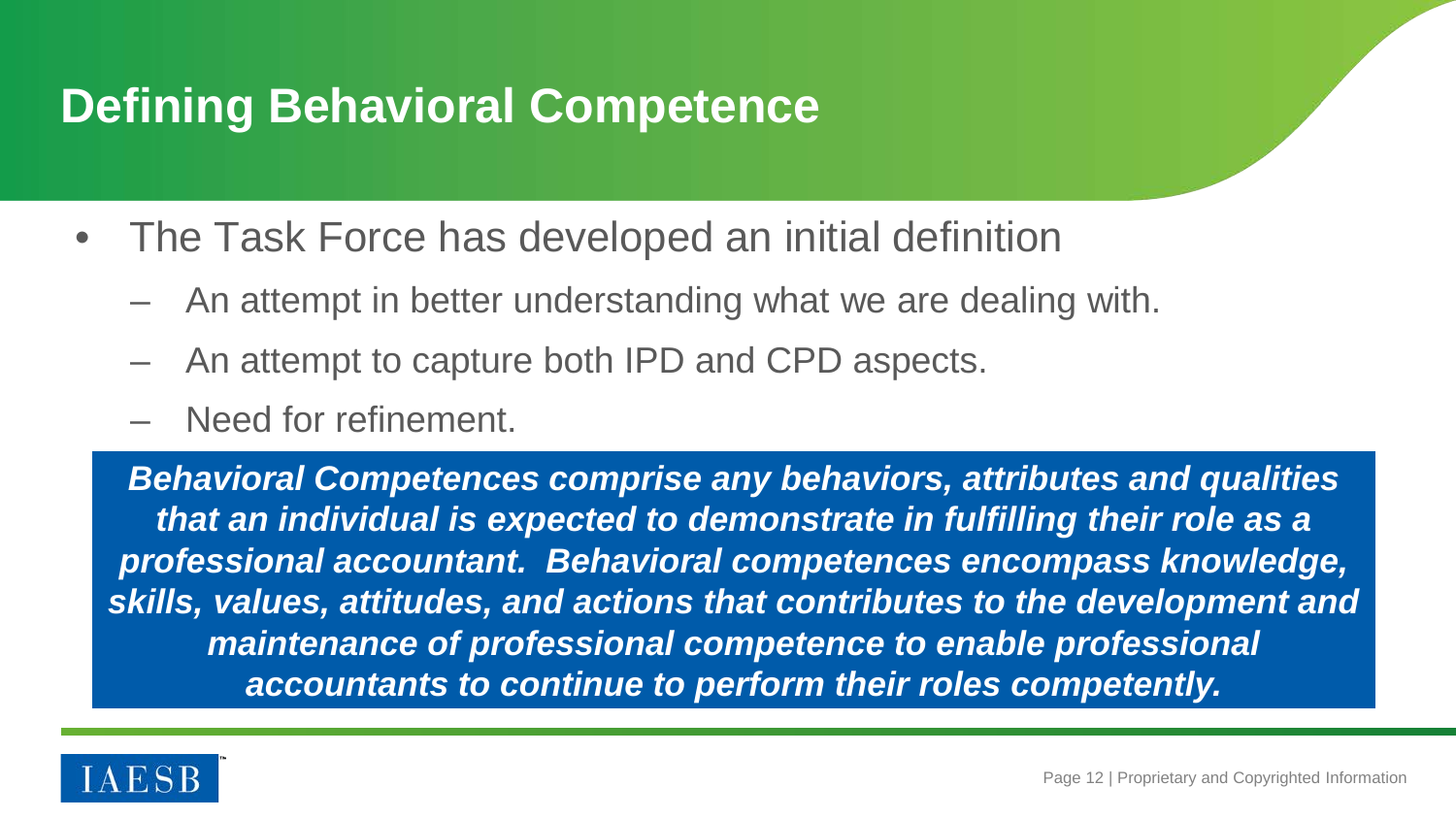## **Defining Behavioral Competence**

- The Task Force has developed an initial definition
	- An attempt in better understanding what we are dealing with.
	- An attempt to capture both IPD and CPD aspects.
	- Need for refinement.

*Behavioral Competences comprise any behaviors, attributes and qualities that an individual is expected to demonstrate in fulfilling their role as a professional accountant. Behavioral competences encompass knowledge, skills, values, attitudes, and actions that contributes to the development and maintenance of professional competence to enable professional accountants to continue to perform their roles competently.*

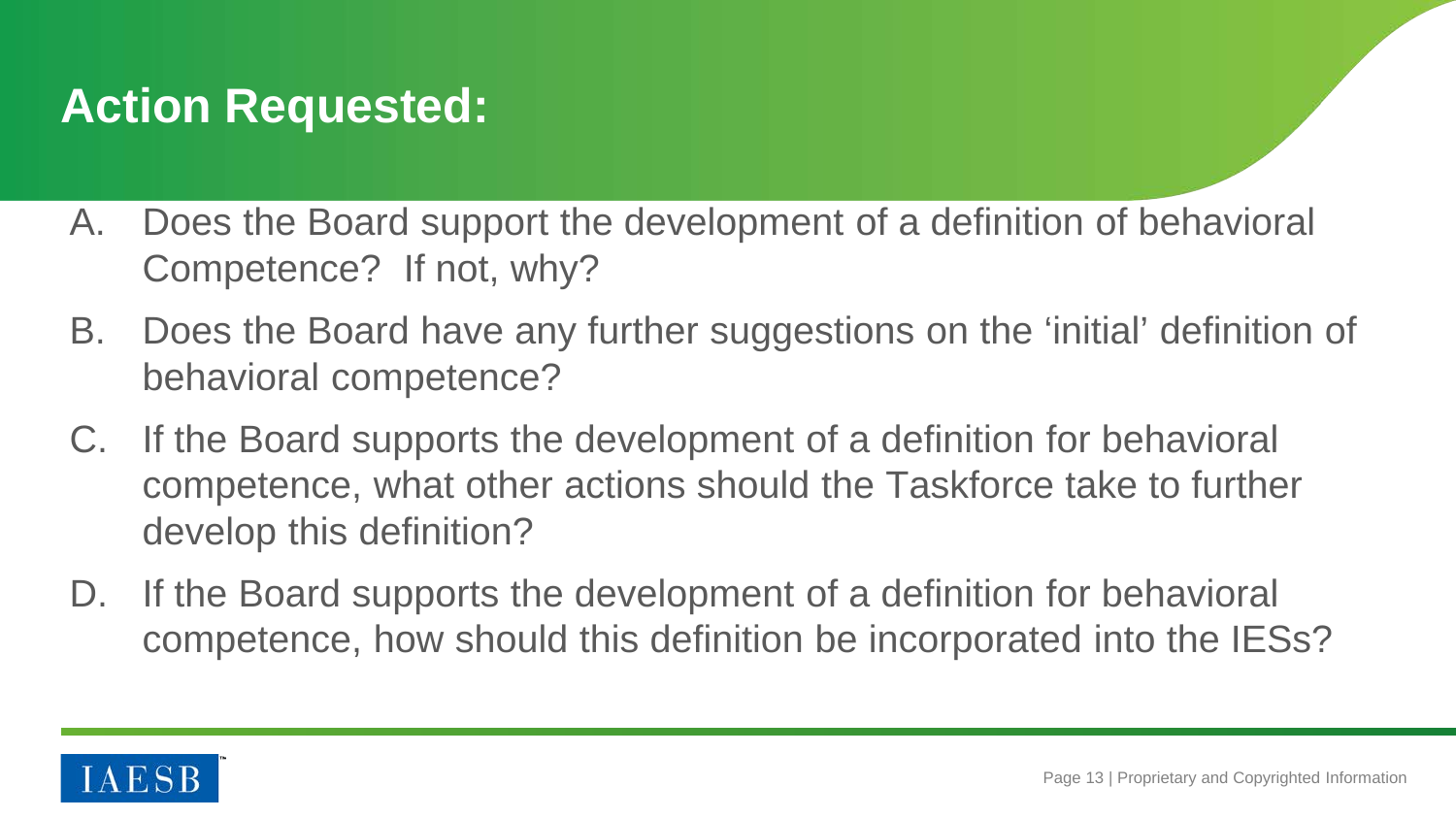## **Action Requested:**

- A. Does the Board support the development of a definition of behavioral Competence? If not, why?
- B. Does the Board have any further suggestions on the 'initial' definition of behavioral competence?
- C. If the Board supports the development of a definition for behavioral competence, what other actions should the Taskforce take to further develop this definition?
- D. If the Board supports the development of a definition for behavioral competence, how should this definition be incorporated into the IESs?

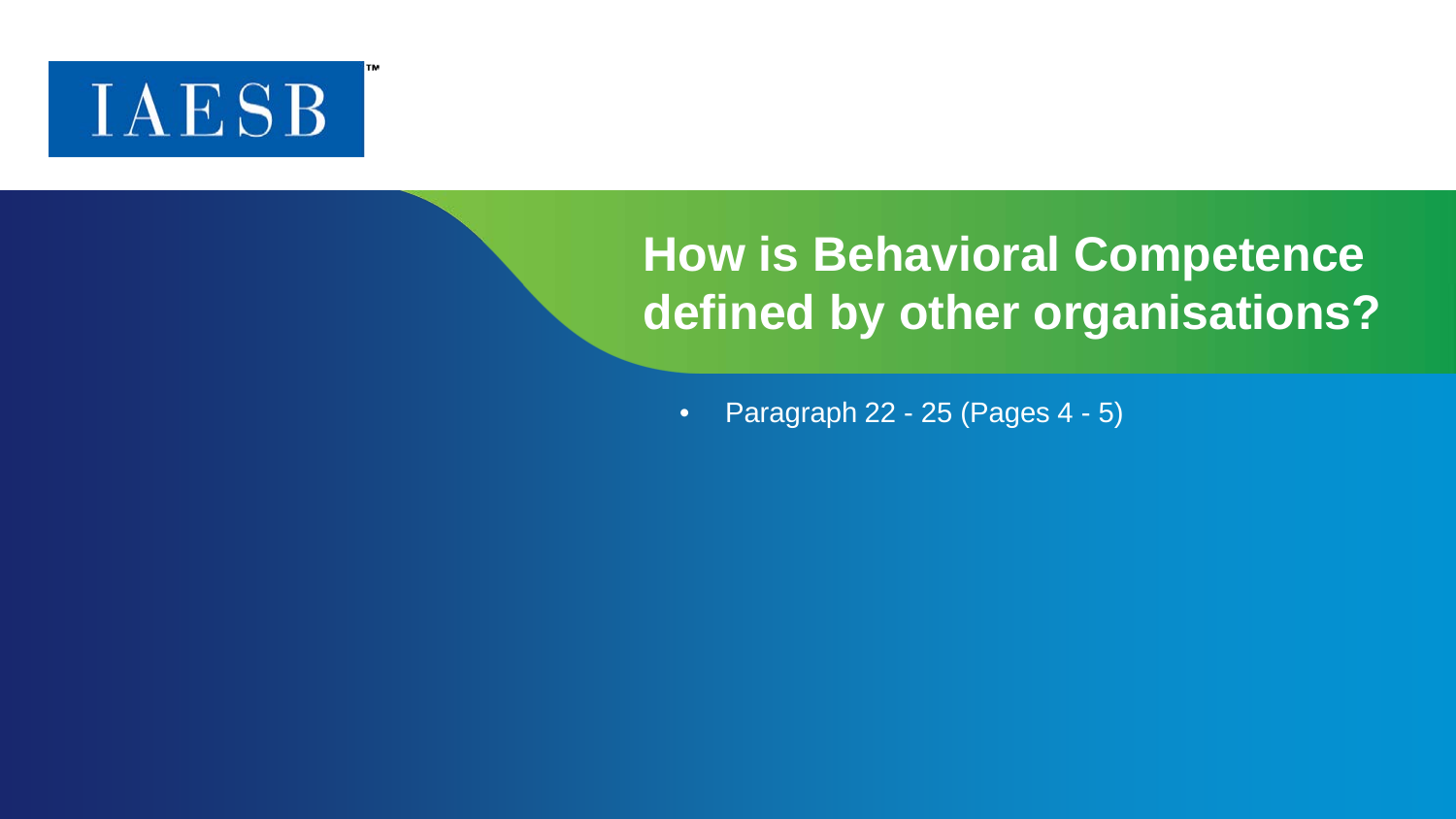

## **How is Behavioral Competence defined by other organisations?**

• Paragraph 22 - 25 (Pages  $4 - 5$ )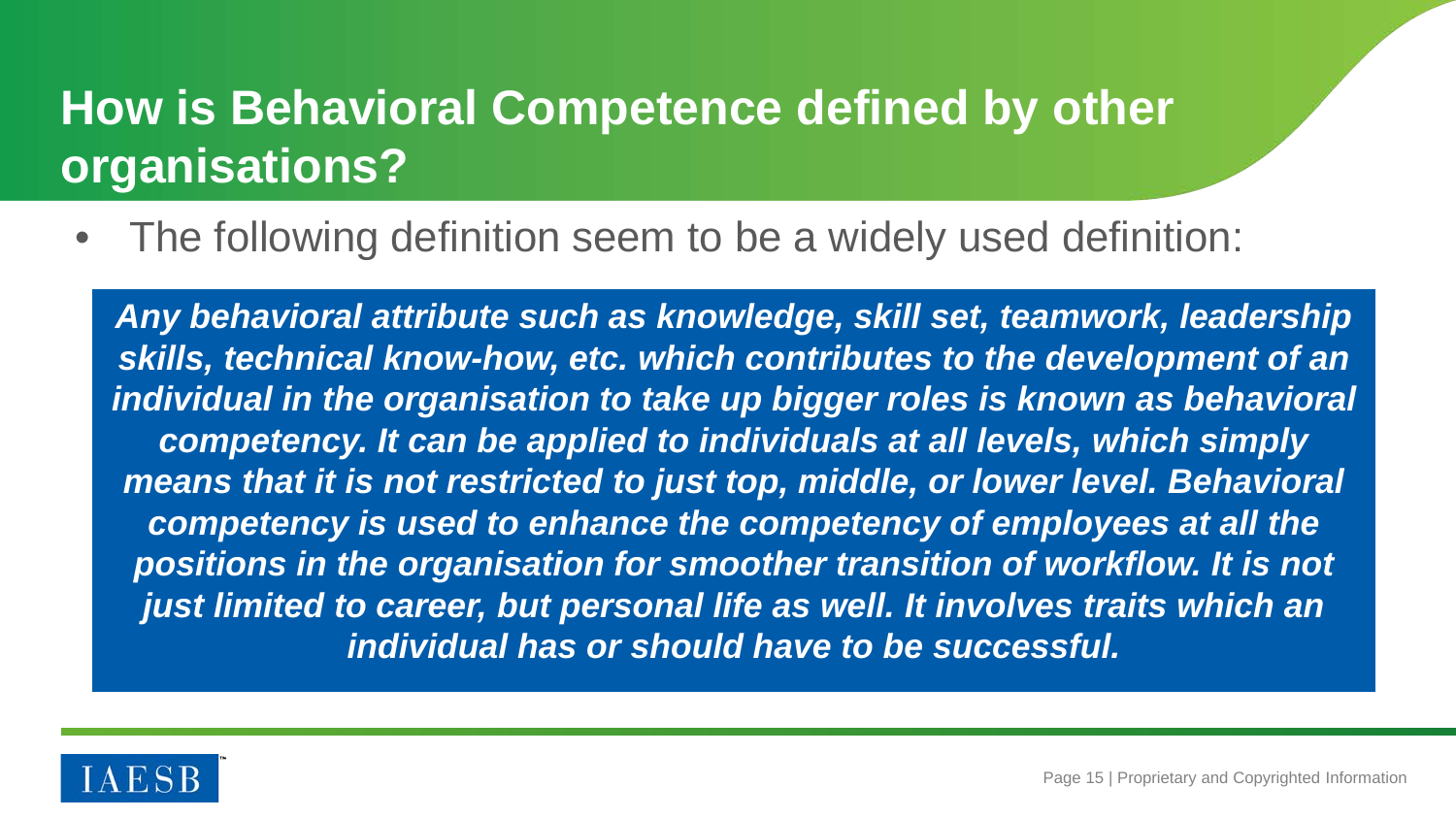## **How is Behavioral Competence defined by other organisations?**

The following definition seem to be a widely used definition:

*Any behavioral attribute such as knowledge, skill set, teamwork, leadership skills, technical know-how, etc. which contributes to the development of an individual in the organisation to take up bigger roles is known as behavioral competency. It can be applied to individuals at all levels, which simply means that it is not restricted to just top, middle, or lower level. Behavioral competency is used to enhance the competency of employees at all the positions in the organisation for smoother transition of workflow. It is not just limited to career, but personal life as well. It involves traits which an individual has or should have to be successful.*

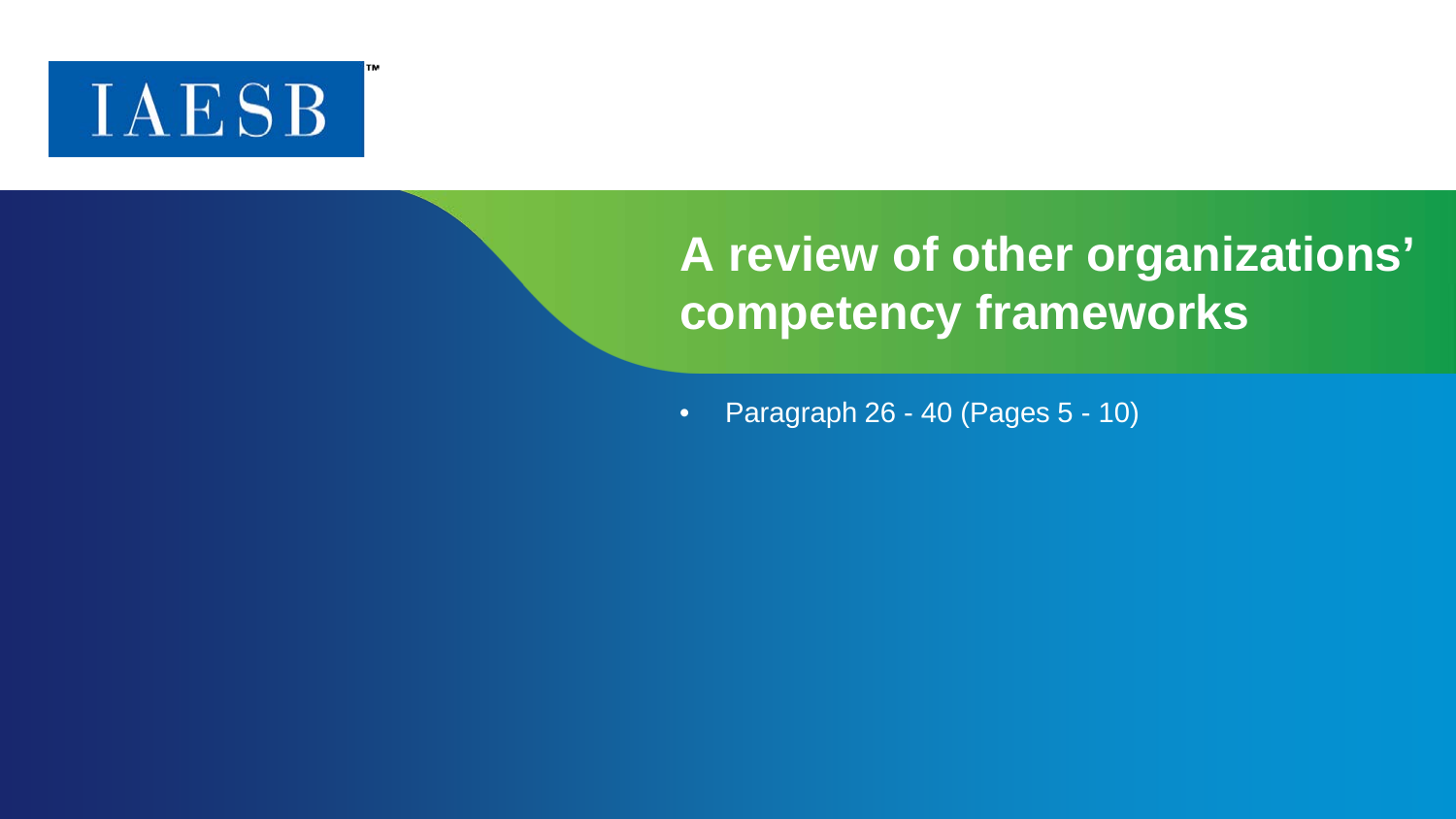

## **A review of other organizations' competency frameworks**

• Paragraph 26 - 40 (Pages 5 - 10)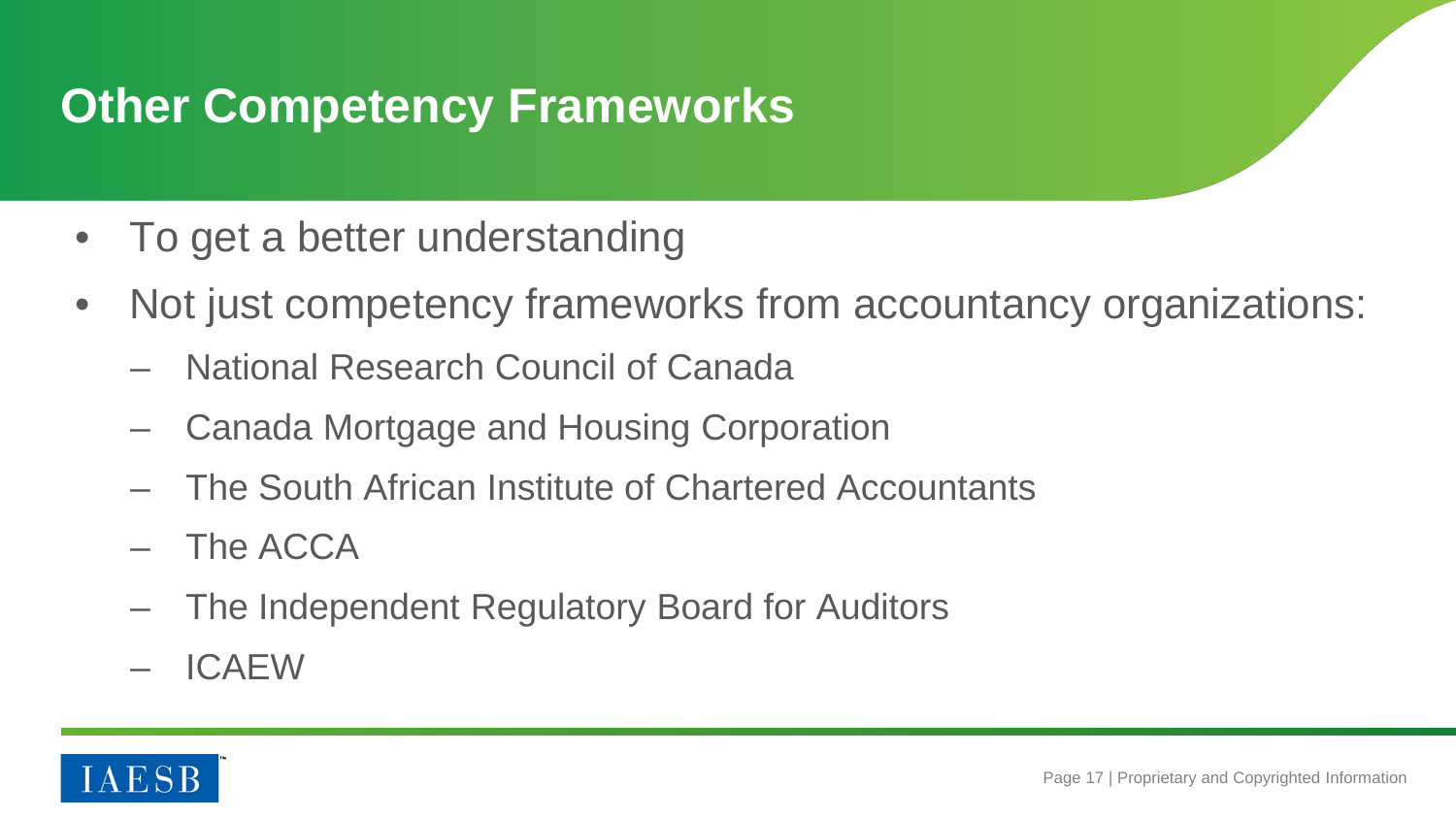## **Other Competency Frameworks**

- To get a better understanding
- Not just competency frameworks from accountancy organizations:
	- National Research Council of Canada
	- Canada Mortgage and Housing Corporation
	- The South African Institute of Chartered Accountants
	- The ACCA
	- The Independent Regulatory Board for Auditors
	- ICAEW

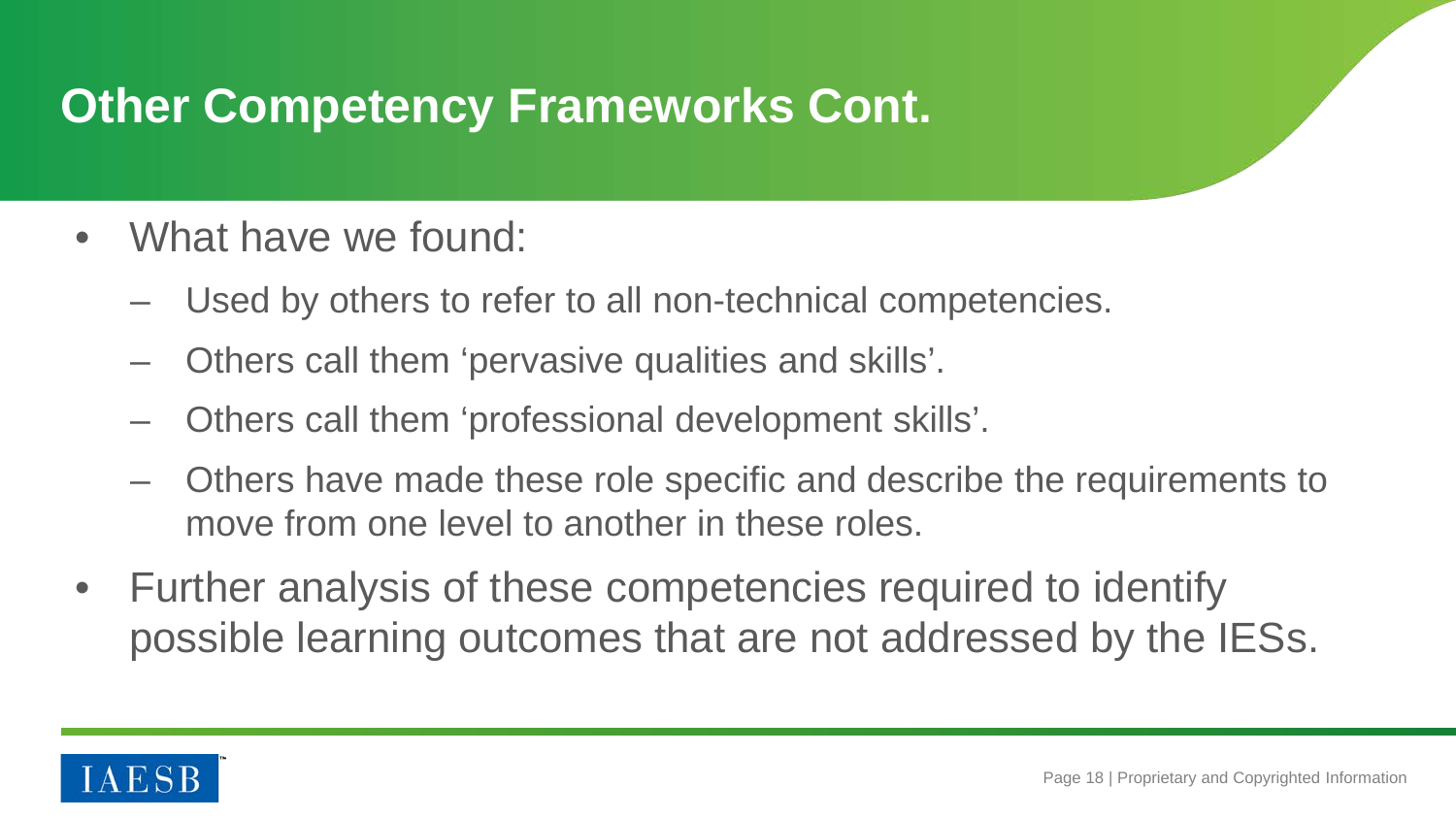## **Other Competency Frameworks Cont.**

- What have we found:
	- Used by others to refer to all non-technical competencies.
	- Others call them 'pervasive qualities and skills'.
	- Others call them 'professional development skills'.
	- Others have made these role specific and describe the requirements to move from one level to another in these roles.
- Further analysis of these competencies required to identify possible learning outcomes that are not addressed by the IESs.

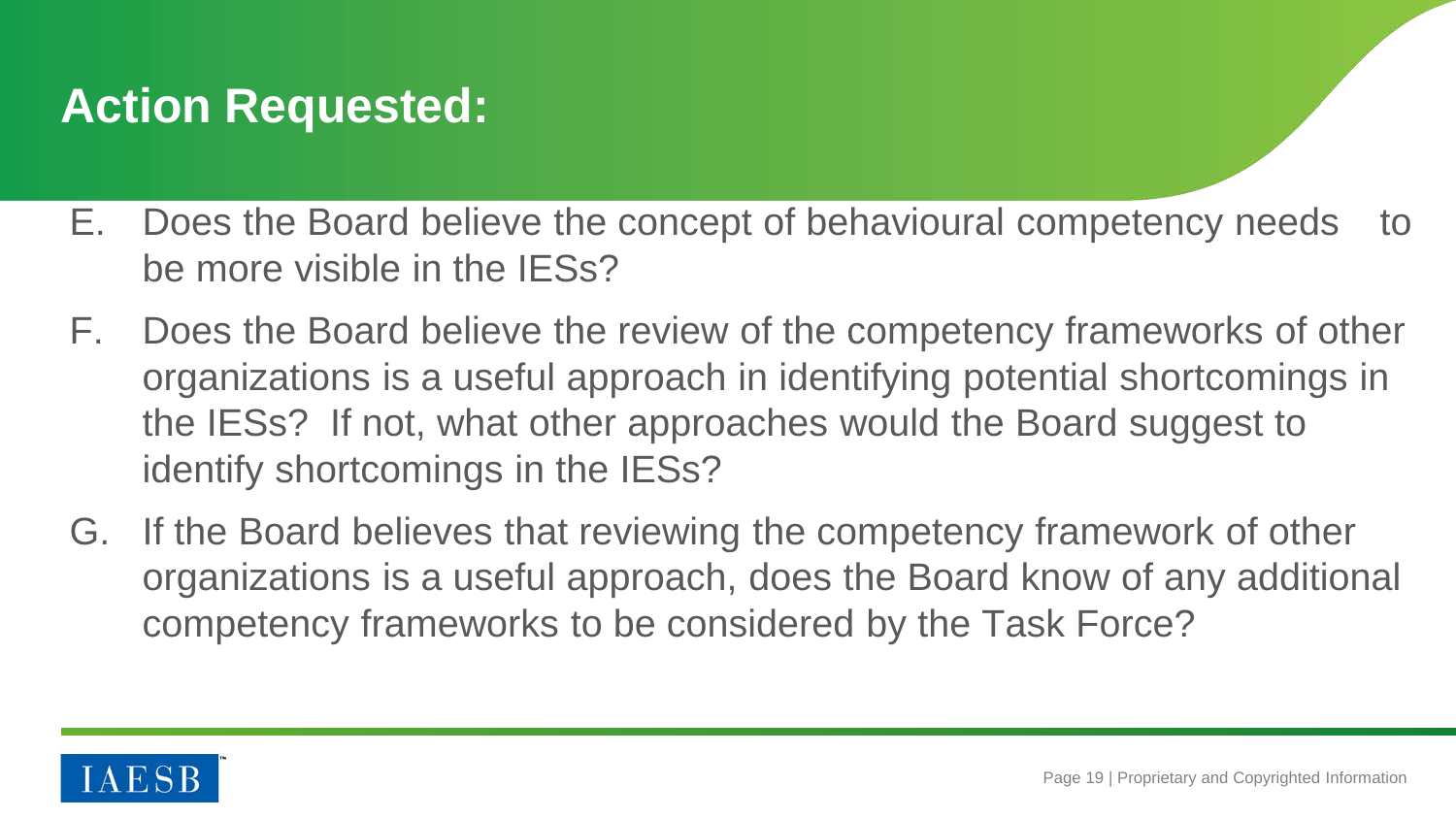## **Action Requested:**

- E. Does the Board believe the concept of behavioural competency needs to be more visible in the IESs?
- F. Does the Board believe the review of the competency frameworks of other organizations is a useful approach in identifying potential shortcomings in the IESs? If not, what other approaches would the Board suggest to identify shortcomings in the IESs?
- G. If the Board believes that reviewing the competency framework of other organizations is a useful approach, does the Board know of any additional competency frameworks to be considered by the Task Force?

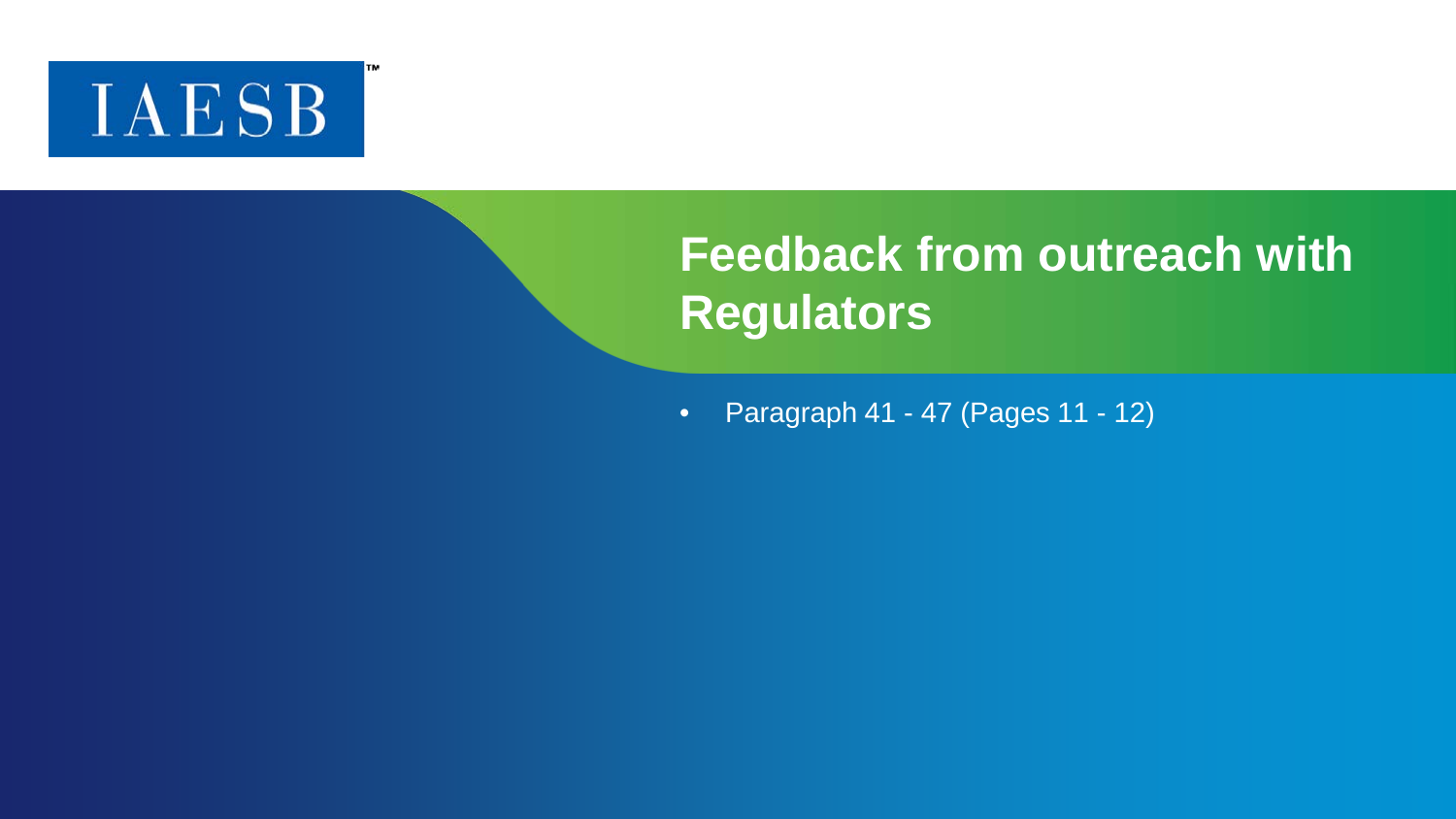

## **Feedback from outreach with Regulators**

• Paragraph 41 - 47 (Pages 11 - 12)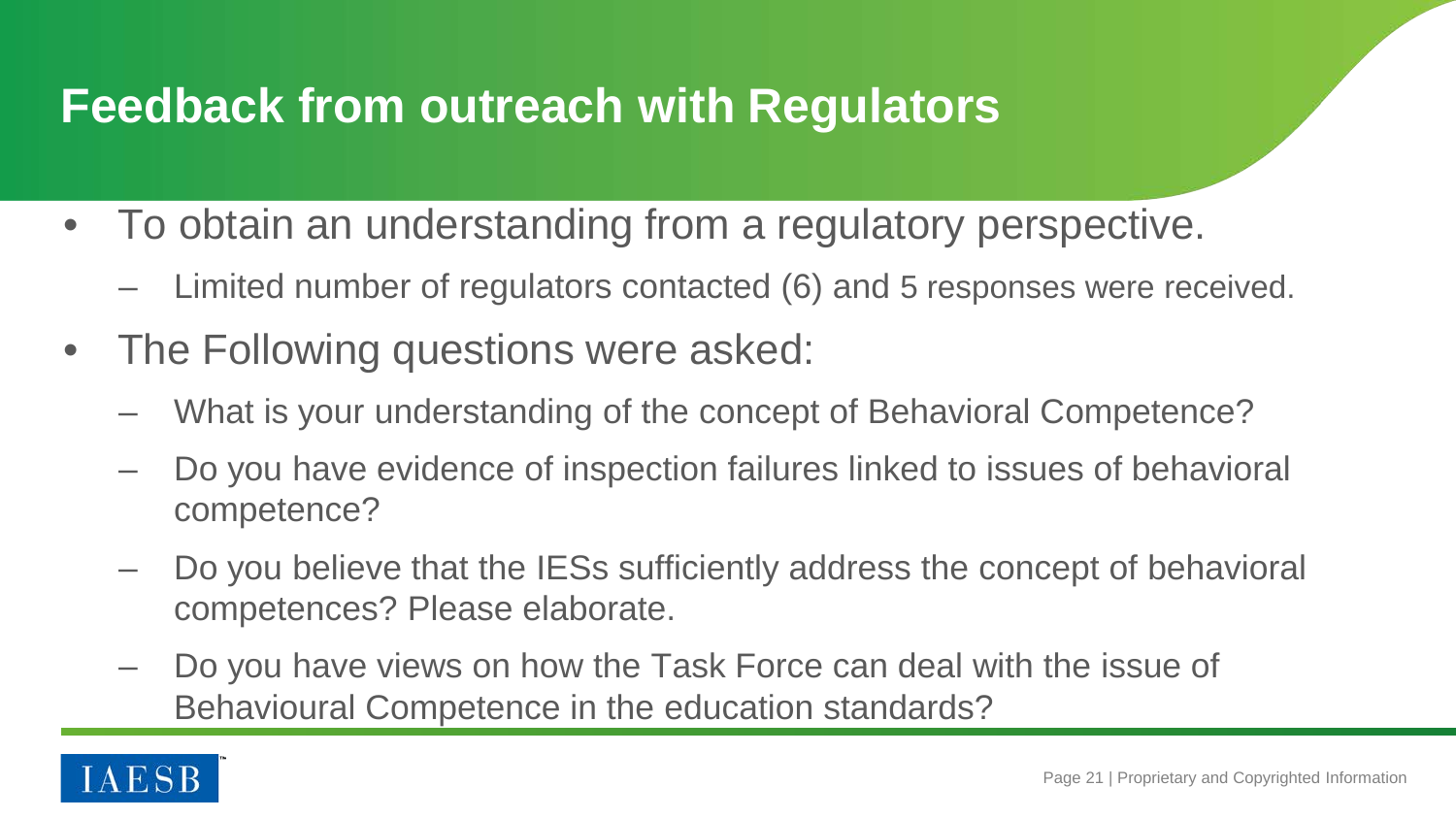#### **Feedback from outreach with Regulators**

- To obtain an understanding from a regulatory perspective.
	- Limited number of regulators contacted (6) and 5 responses were received.
- The Following questions were asked:
	- What is your understanding of the concept of Behavioral Competence?
	- Do you have evidence of inspection failures linked to issues of behavioral competence?
	- Do you believe that the IESs sufficiently address the concept of behavioral competences? Please elaborate.
	- Do you have views on how the Task Force can deal with the issue of Behavioural Competence in the education standards?

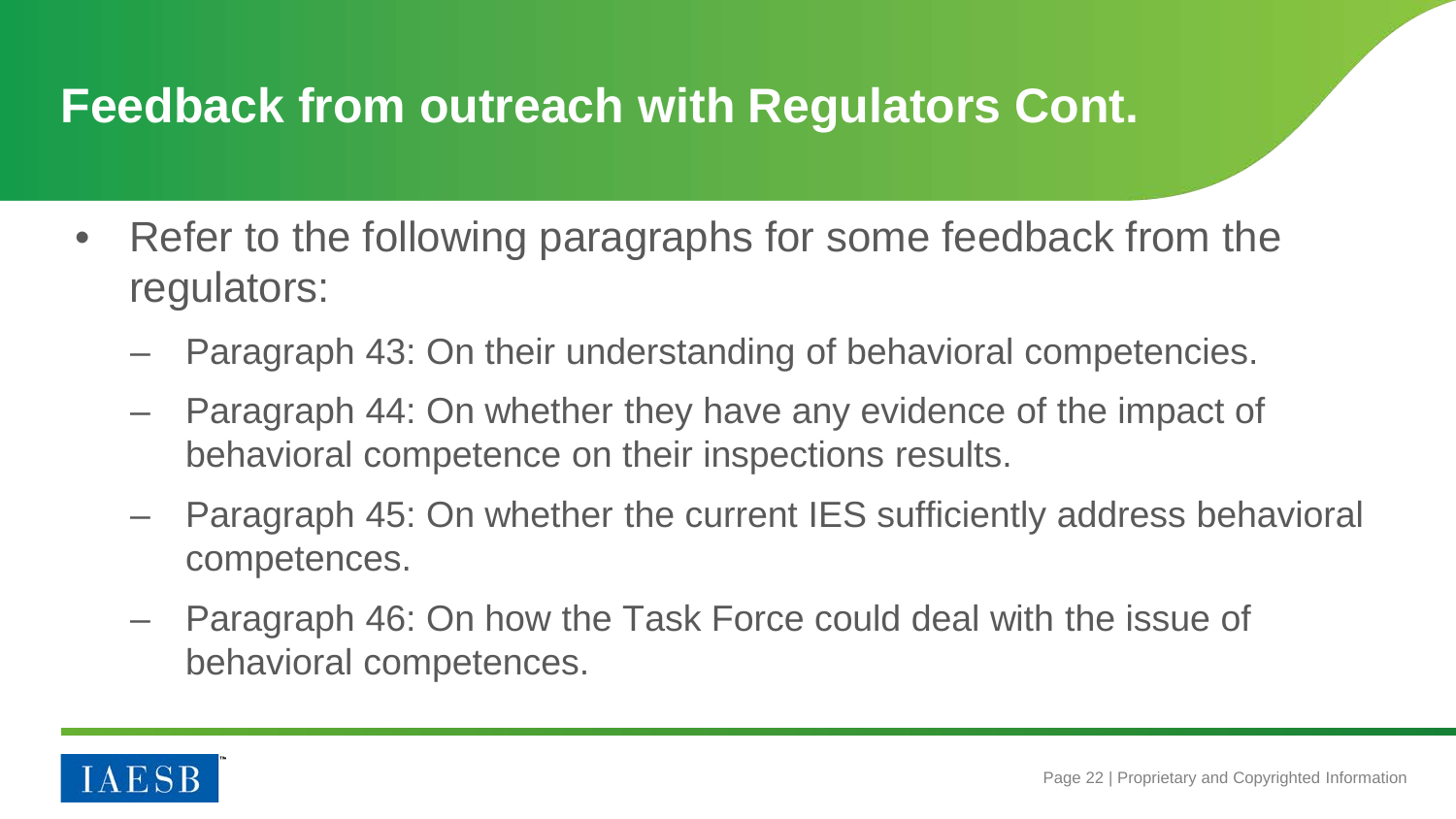#### **Feedback from outreach with Regulators Cont.**

- Refer to the following paragraphs for some feedback from the regulators:
	- Paragraph 43: On their understanding of behavioral competencies.
	- Paragraph 44: On whether they have any evidence of the impact of behavioral competence on their inspections results.
	- Paragraph 45: On whether the current IES sufficiently address behavioral competences.
	- Paragraph 46: On how the Task Force could deal with the issue of behavioral competences.

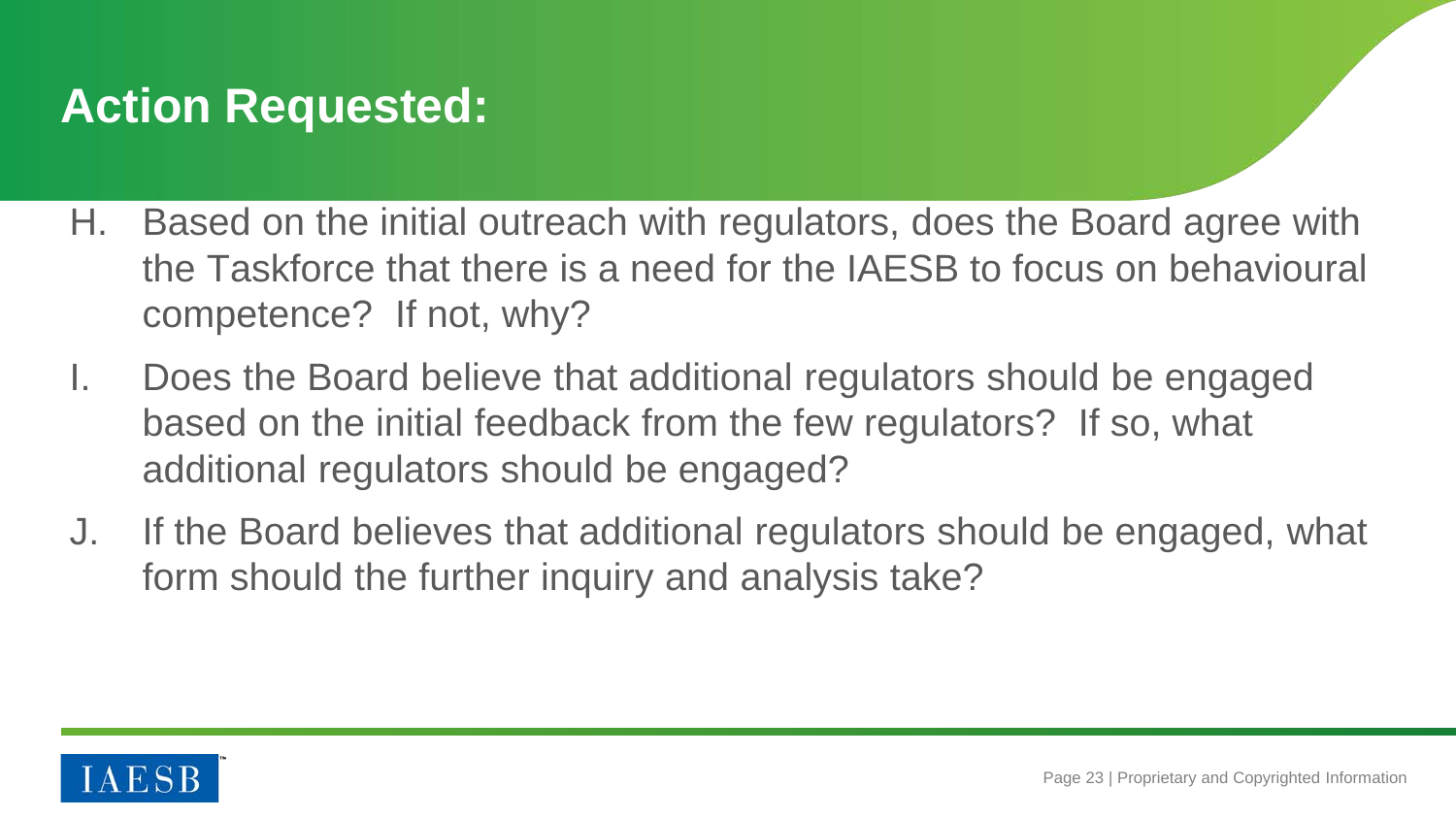## **Action Requested:**

- H. Based on the initial outreach with regulators, does the Board agree with the Taskforce that there is a need for the IAESB to focus on behavioural competence? If not, why?
- I. Does the Board believe that additional regulators should be engaged based on the initial feedback from the few regulators? If so, what additional regulators should be engaged?
- J. If the Board believes that additional regulators should be engaged, what form should the further inquiry and analysis take?

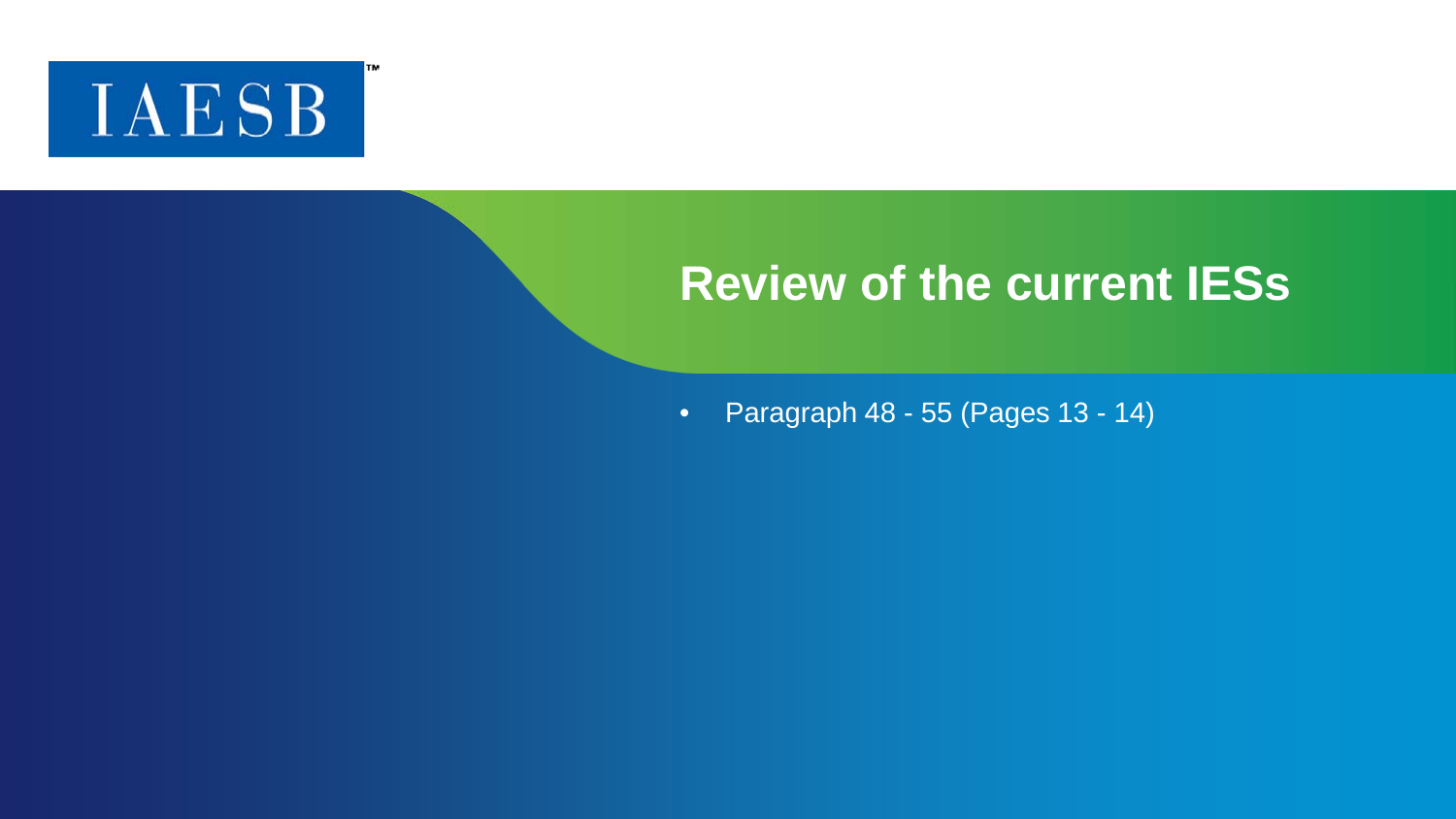

#### **Review of the current IESs**

• Paragraph 48 - 55 (Pages 13 - 14)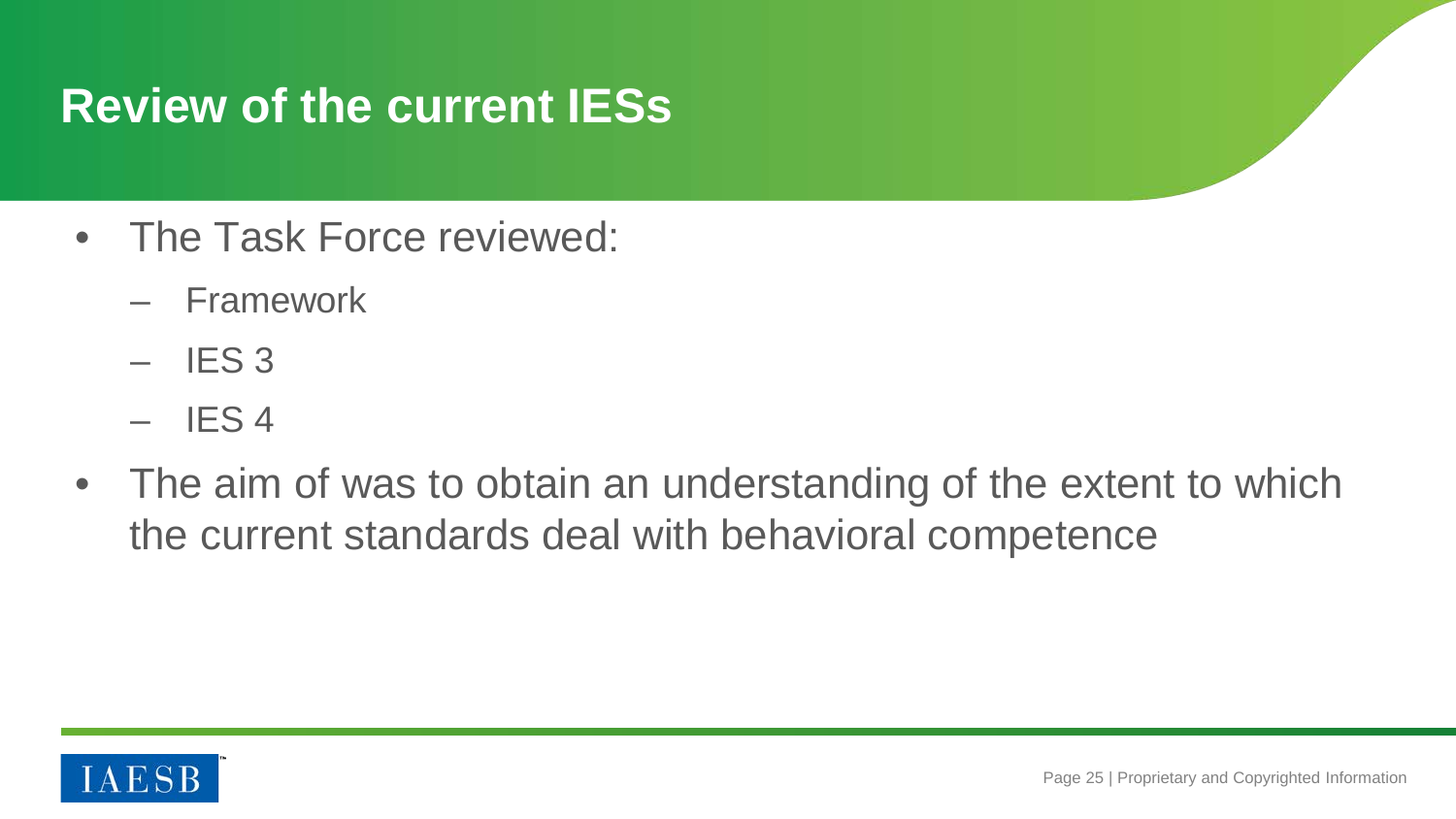## **Review of the current IESs**

- The Task Force reviewed:
	- Framework
	- $-$  IES 3
	- $-$  IFS 4
- The aim of was to obtain an understanding of the extent to which the current standards deal with behavioral competence

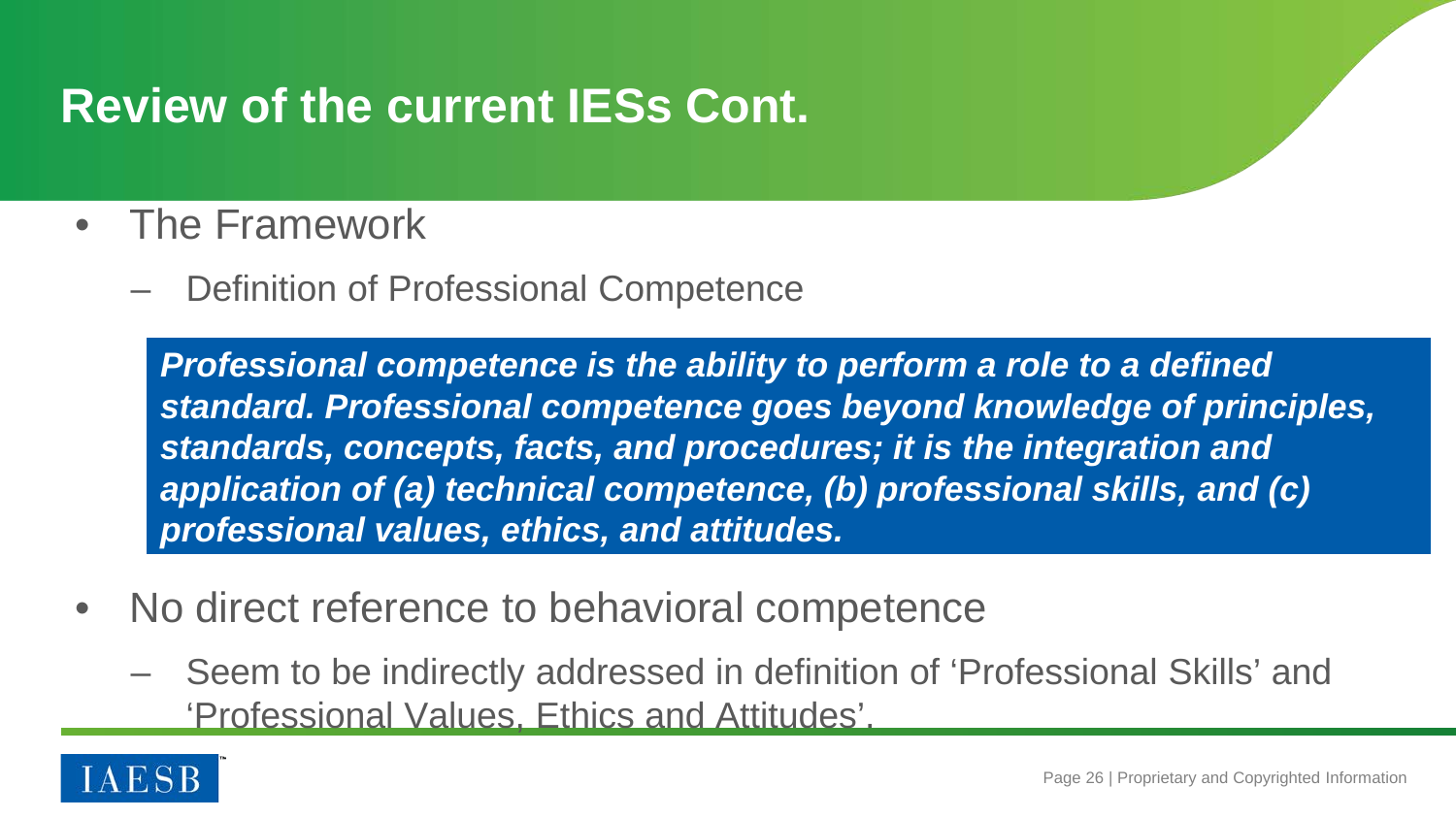## **Review of the current IESs Cont.**

- The Framework
	- Definition of Professional Competence

*Professional competence is the ability to perform a role to a defined standard. Professional competence goes beyond knowledge of principles, standards, concepts, facts, and procedures; it is the integration and application of (a) technical competence, (b) professional skills, and (c) professional values, ethics, and attitudes.*

- No direct reference to behavioral competence
	- Seem to be indirectly addressed in definition of 'Professional Skills' and 'Professional Values, Ethics and Attitudes'.

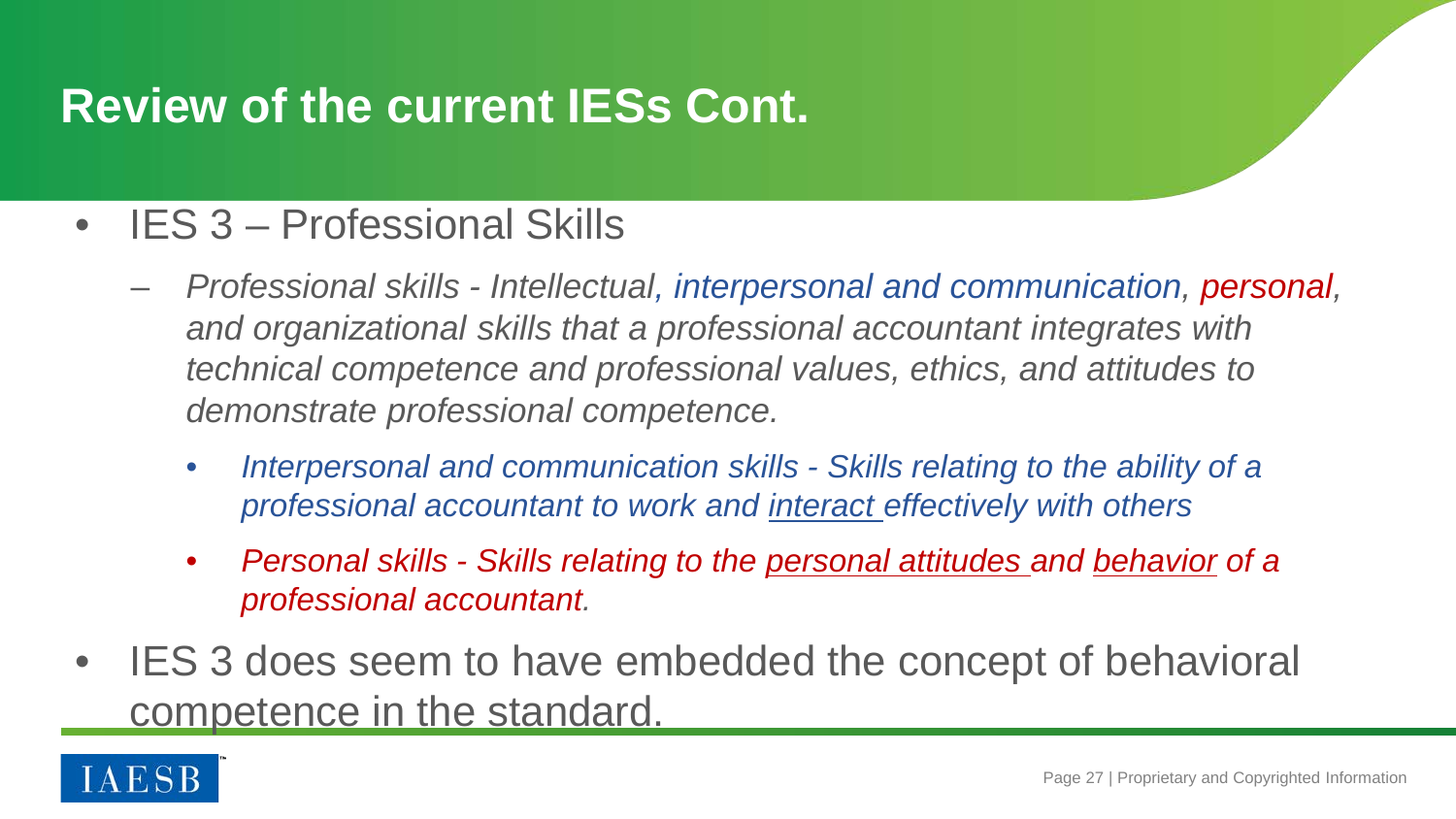## **Review of the current IESs Cont.**

#### • IES 3 – Professional Skills

- *Professional skills - Intellectual, interpersonal and communication, personal, and organizational skills that a professional accountant integrates with technical competence and professional values, ethics, and attitudes to demonstrate professional competence.*
	- *Interpersonal and communication skills - Skills relating to the ability of a professional accountant to work and interact effectively with others*
	- *Personal skills - Skills relating to the personal attitudes and behavior of a professional accountant.*
- IES 3 does seem to have embedded the concept of behavioral competence in the standard.

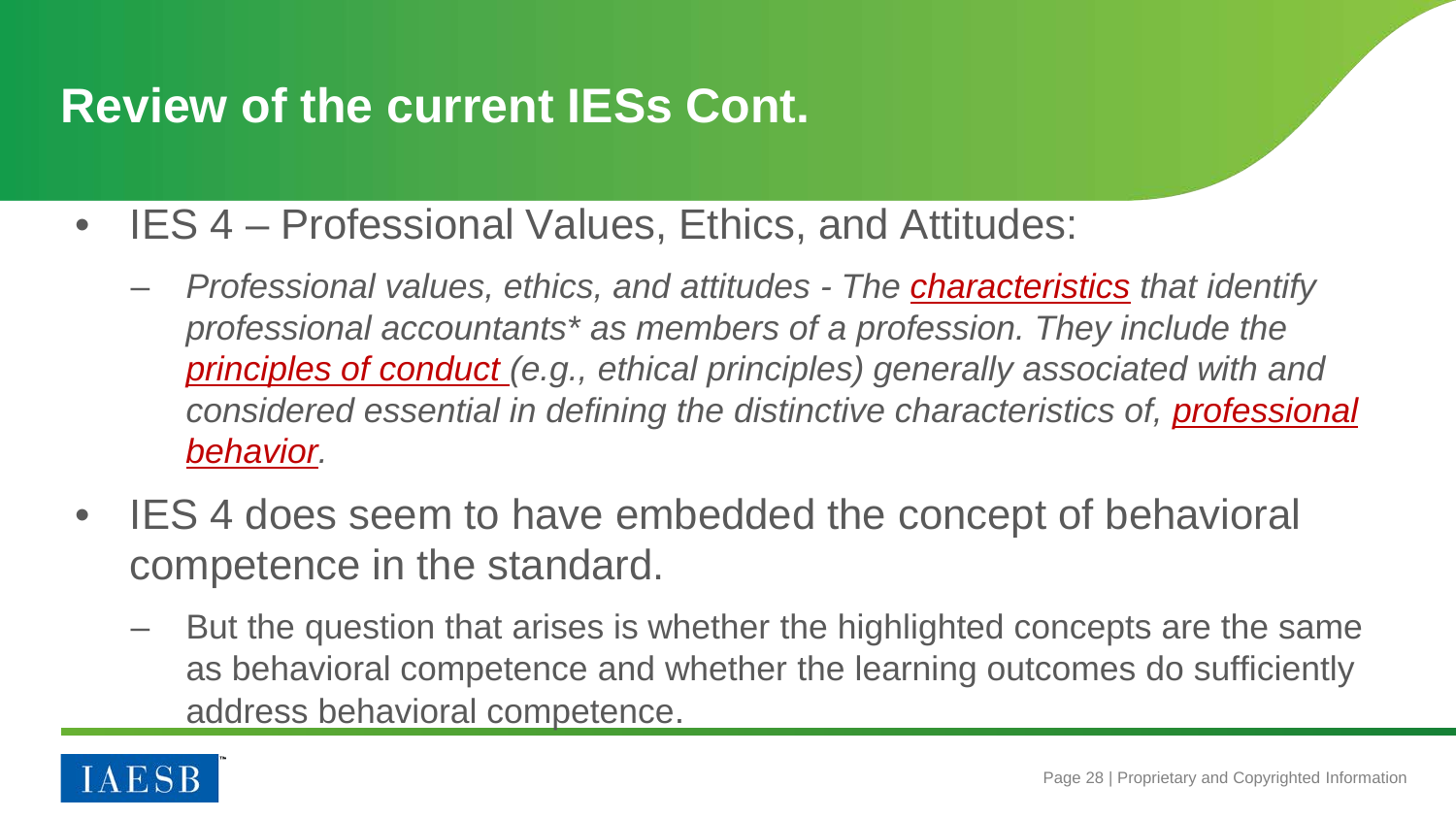## **Review of the current IESs Cont.**

- IES 4 Professional Values, Ethics, and Attitudes:
	- *Professional values, ethics, and attitudes - The characteristics that identify professional accountants\* as members of a profession. They include the principles of conduct (e.g., ethical principles) generally associated with and considered essential in defining the distinctive characteristics of, professional behavior.*
- IES 4 does seem to have embedded the concept of behavioral competence in the standard.
	- But the question that arises is whether the highlighted concepts are the same as behavioral competence and whether the learning outcomes do sufficiently address behavioral competence.

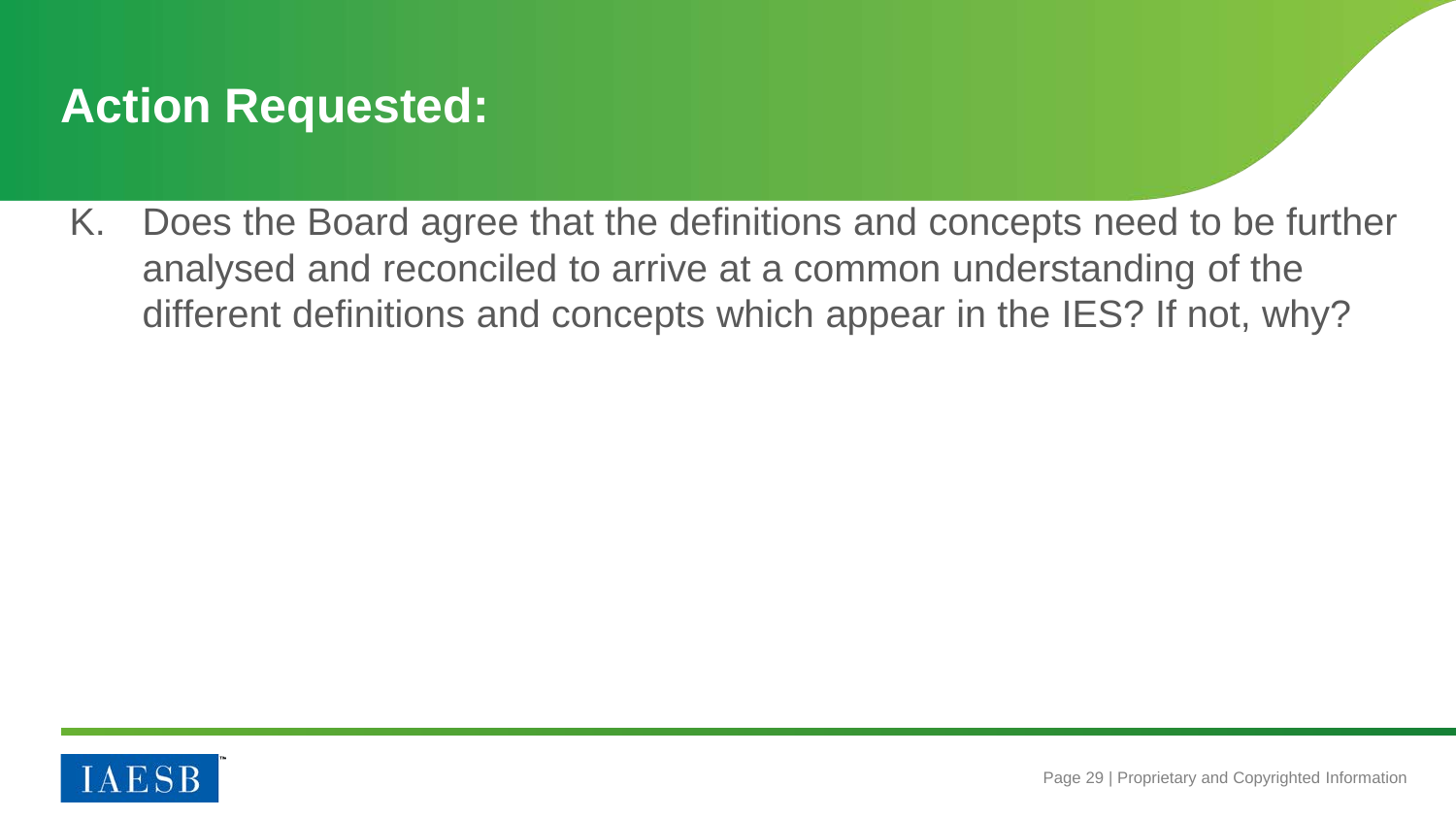## **Action Requested:**

K. Does the Board agree that the definitions and concepts need to be further analysed and reconciled to arrive at a common understanding of the different definitions and concepts which appear in the IES? If not, why?

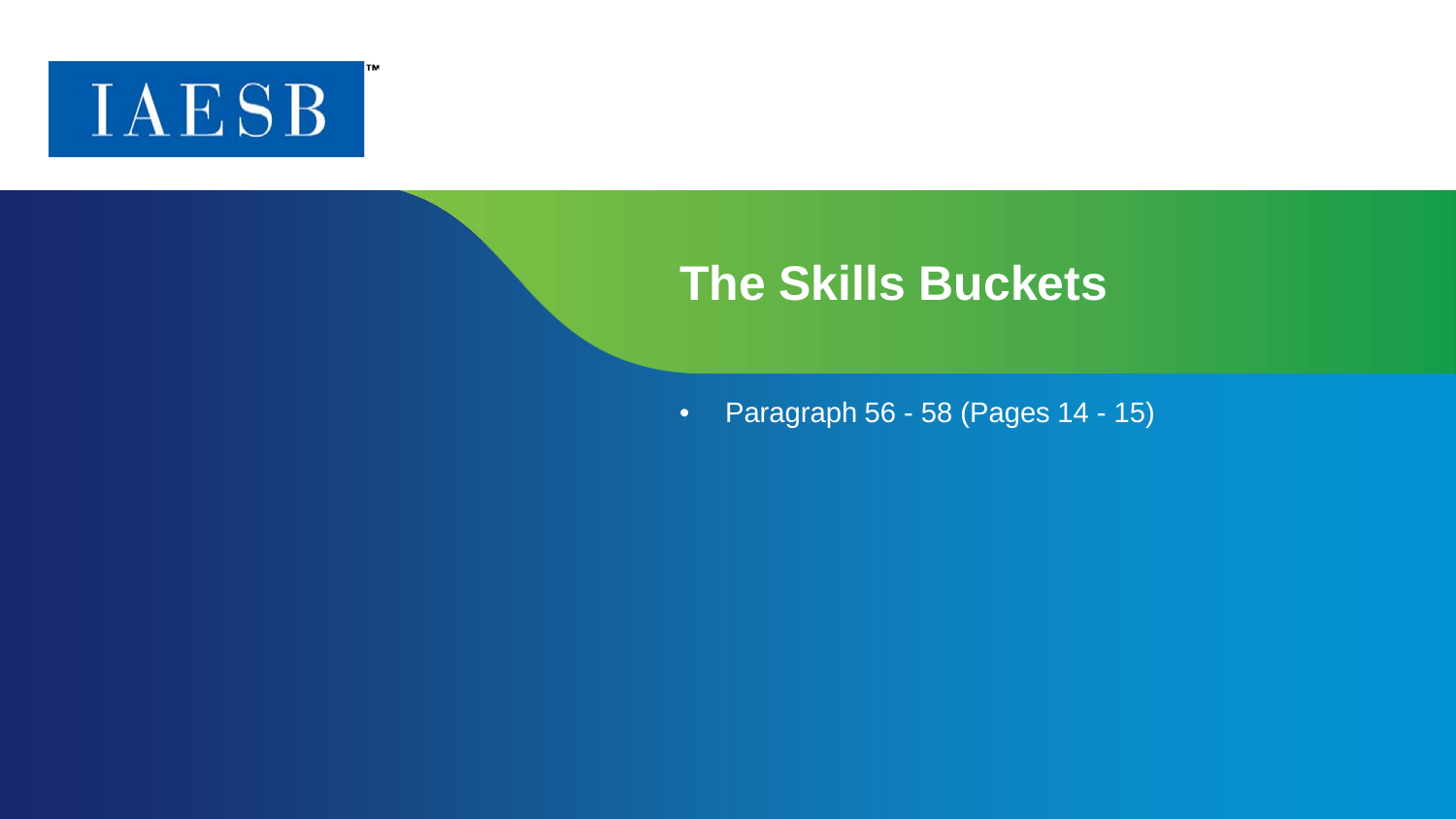

ГM

#### **The Skills Buckets**

• Paragraph 56 - 58 (Pages 14 - 15)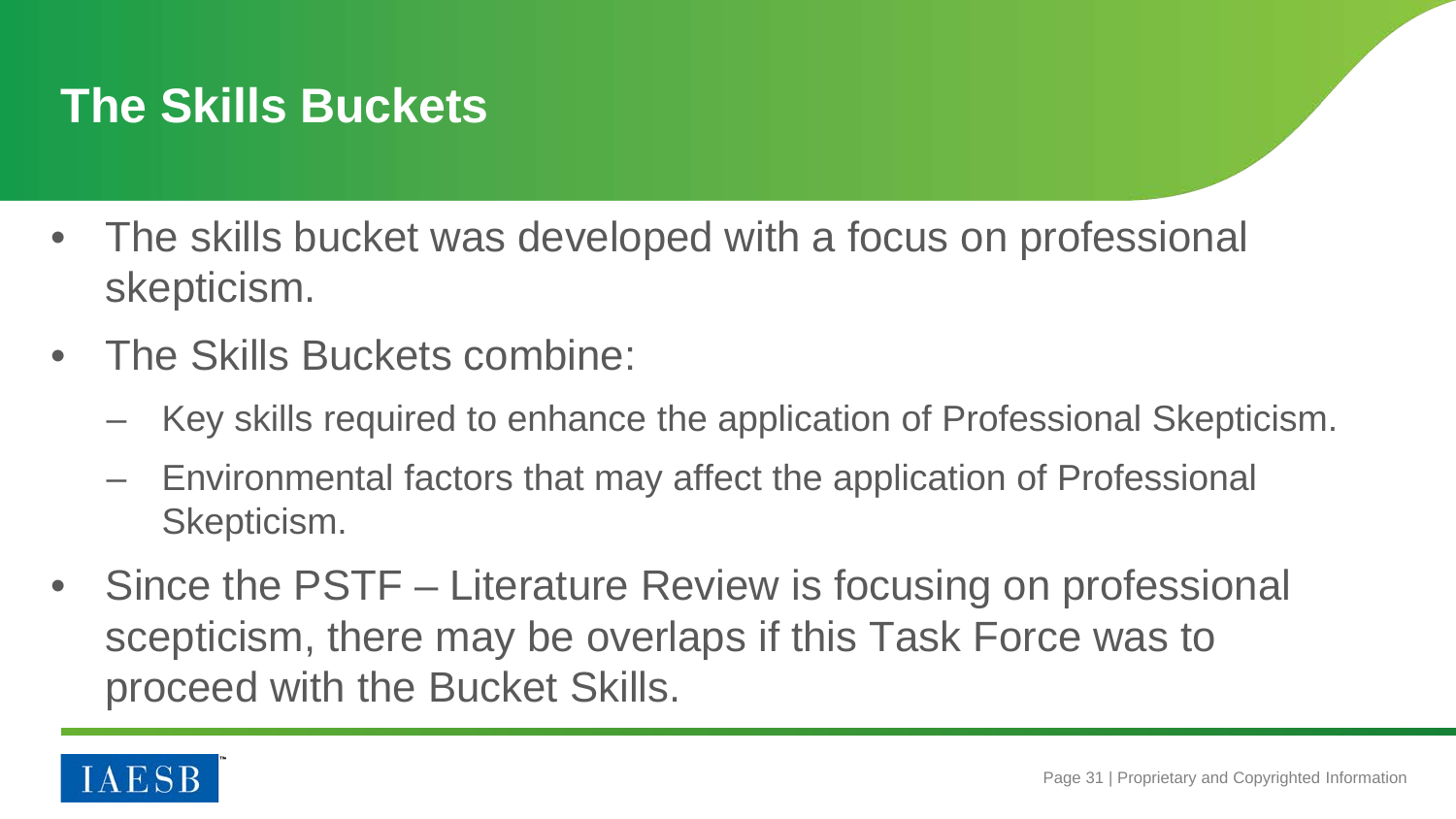## **The Skills Buckets**

- The skills bucket was developed with a focus on professional skepticism.
- The Skills Buckets combine:
	- Key skills required to enhance the application of Professional Skepticism.
	- Environmental factors that may affect the application of Professional Skepticism.
- Since the PSTF Literature Review is focusing on professional scepticism, there may be overlaps if this Task Force was to proceed with the Bucket Skills.

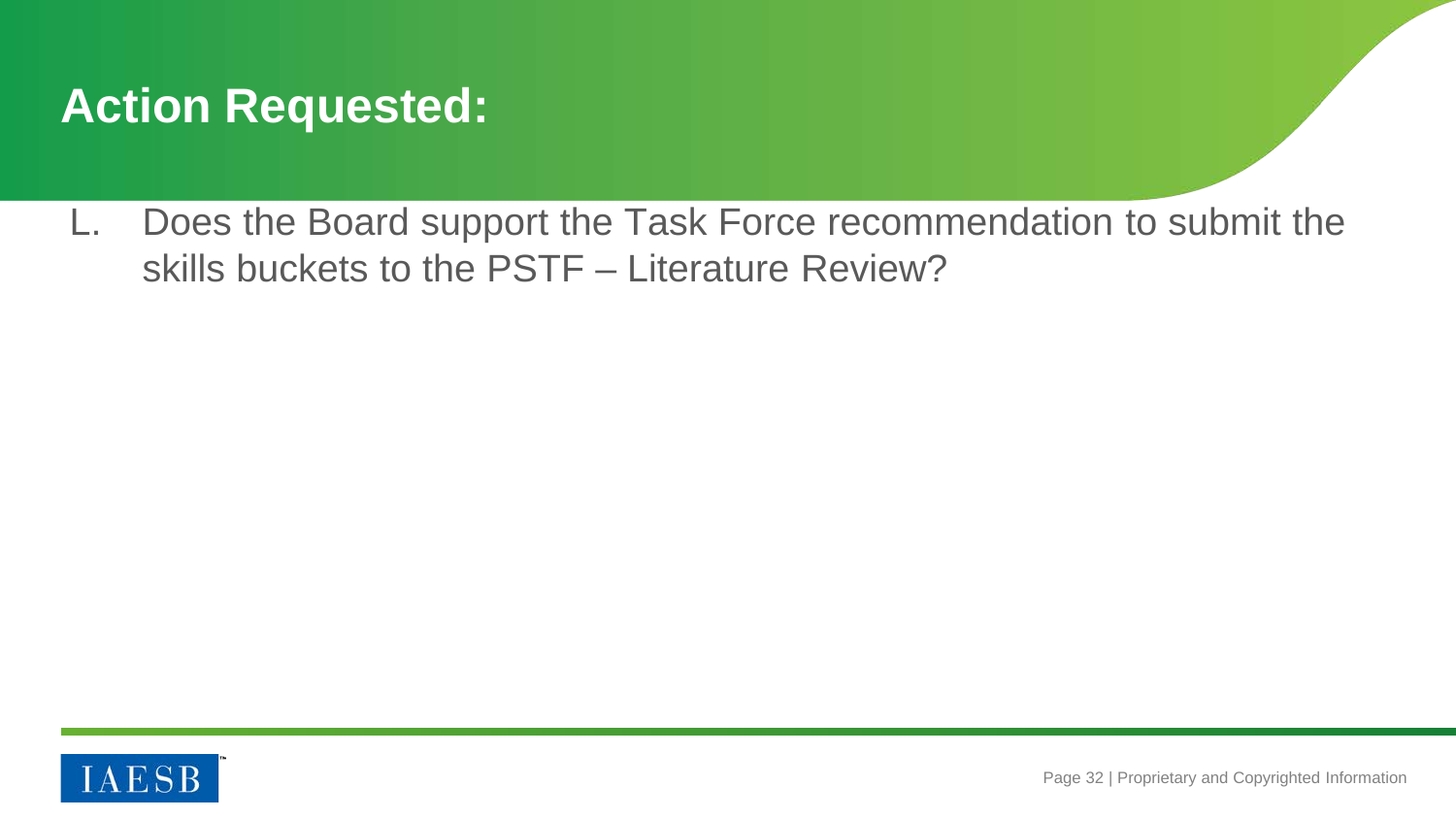## **Action Requested:**

L. Does the Board support the Task Force recommendation to submit the skills buckets to the PSTF – Literature Review?

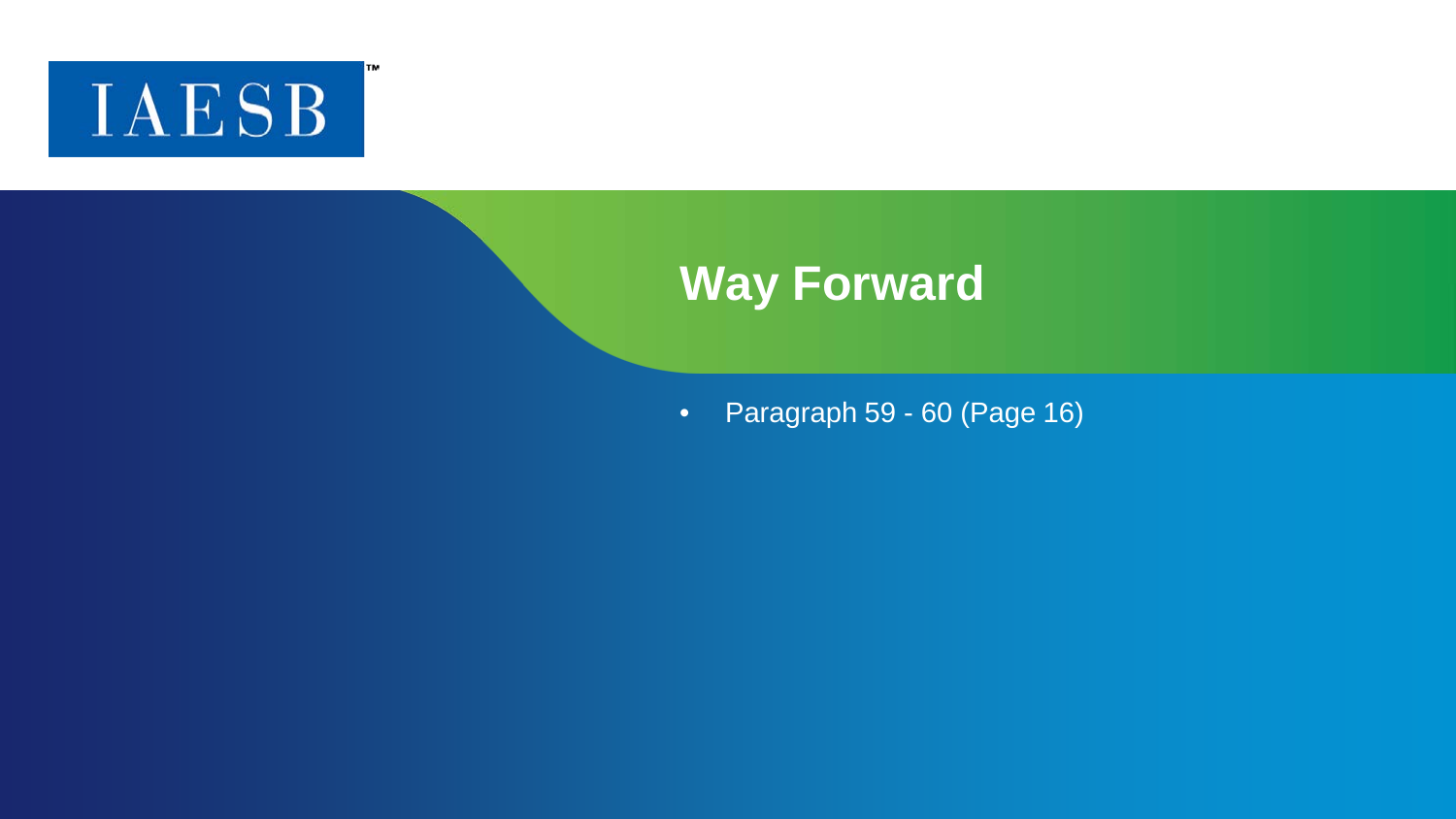

ГM

#### **Way Forward**

• Paragraph 59 - 60 (Page 16)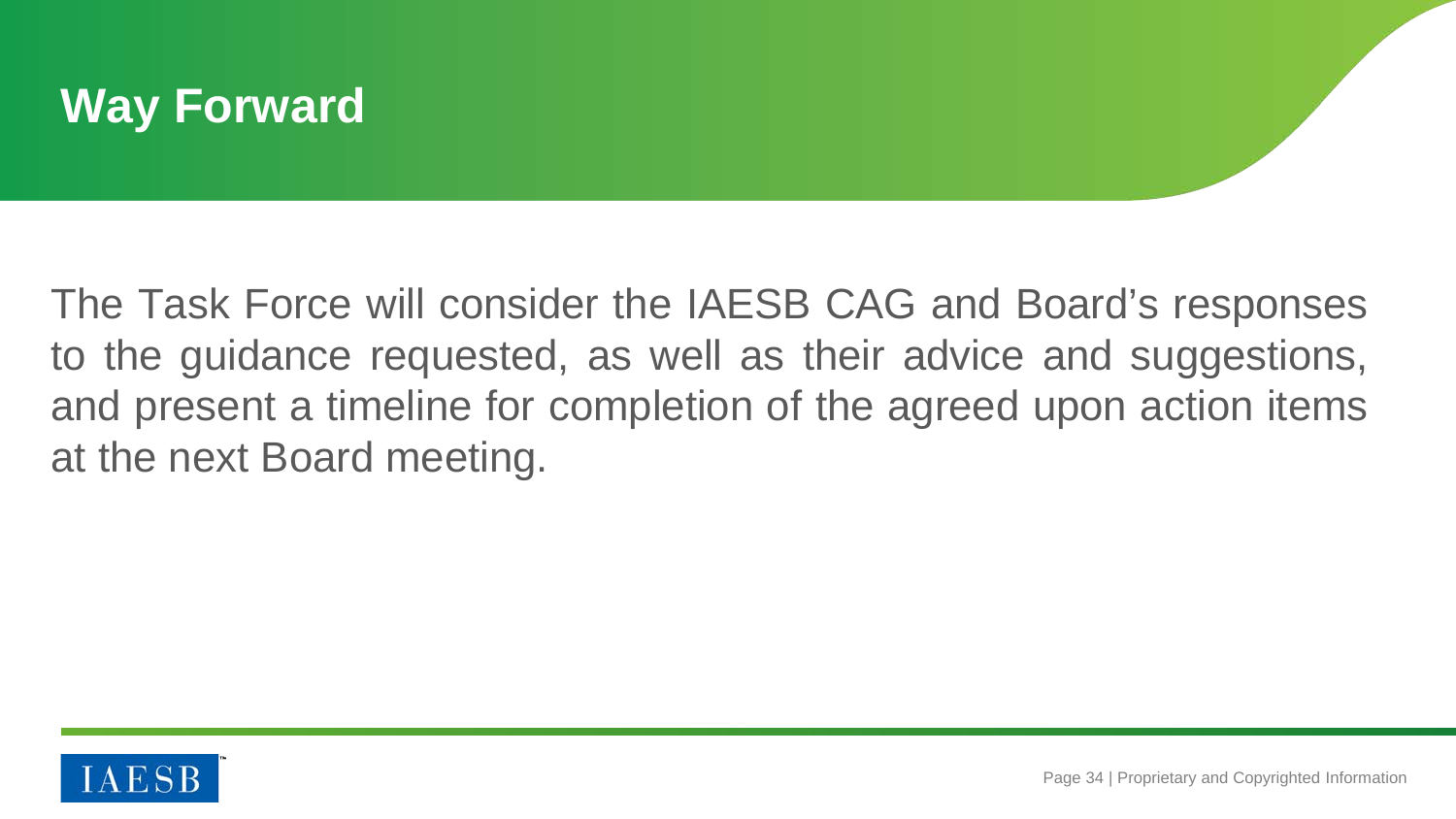#### **Way Forward**

The Task Force will consider the IAESB CAG and Board's responses to the guidance requested, as well as their advice and suggestions, and present a timeline for completion of the agreed upon action items at the next Board meeting.